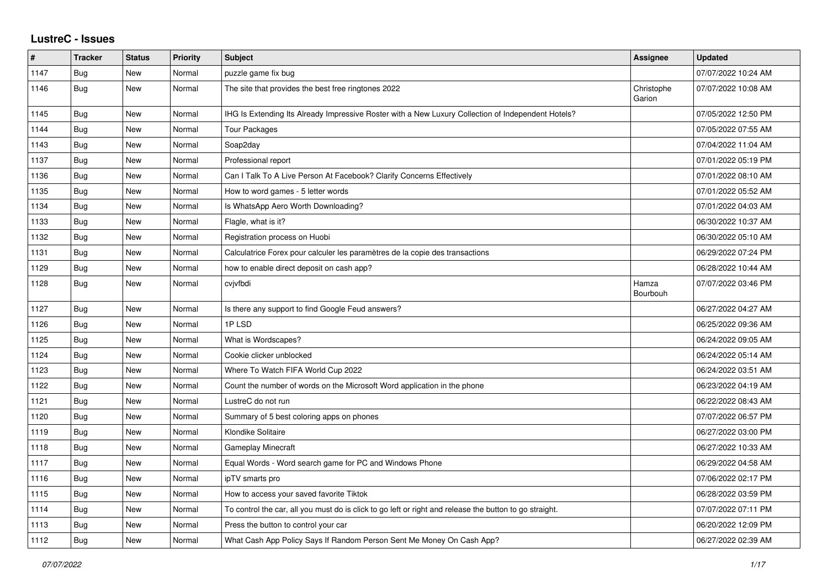## **LustreC - Issues**

| $\sharp$ | <b>Tracker</b> | <b>Status</b> | <b>Priority</b> | Subject                                                                                                 | Assignee             | <b>Updated</b>      |
|----------|----------------|---------------|-----------------|---------------------------------------------------------------------------------------------------------|----------------------|---------------------|
| 1147     | <b>Bug</b>     | New           | Normal          | puzzle game fix bug                                                                                     |                      | 07/07/2022 10:24 AM |
| 1146     | Bug            | New           | Normal          | The site that provides the best free ringtones 2022                                                     | Christophe<br>Garion | 07/07/2022 10:08 AM |
| 1145     | Bug            | New           | Normal          | IHG Is Extending Its Already Impressive Roster with a New Luxury Collection of Independent Hotels?      |                      | 07/05/2022 12:50 PM |
| 1144     | Bug            | New           | Normal          | Tour Packages                                                                                           |                      | 07/05/2022 07:55 AM |
| 1143     | <b>Bug</b>     | New           | Normal          | Soap2day                                                                                                |                      | 07/04/2022 11:04 AM |
| 1137     | <b>Bug</b>     | New           | Normal          | Professional report                                                                                     |                      | 07/01/2022 05:19 PM |
| 1136     | Bug            | New           | Normal          | Can I Talk To A Live Person At Facebook? Clarify Concerns Effectively                                   |                      | 07/01/2022 08:10 AM |
| 1135     | <b>Bug</b>     | New           | Normal          | How to word games - 5 letter words                                                                      |                      | 07/01/2022 05:52 AM |
| 1134     | Bug            | New           | Normal          | Is WhatsApp Aero Worth Downloading?                                                                     |                      | 07/01/2022 04:03 AM |
| 1133     | Bug            | New           | Normal          | Flagle, what is it?                                                                                     |                      | 06/30/2022 10:37 AM |
| 1132     | <b>Bug</b>     | New           | Normal          | Registration process on Huobi                                                                           |                      | 06/30/2022 05:10 AM |
| 1131     | Bug            | New           | Normal          | Calculatrice Forex pour calculer les paramètres de la copie des transactions                            |                      | 06/29/2022 07:24 PM |
| 1129     | Bug            | New           | Normal          | how to enable direct deposit on cash app?                                                               |                      | 06/28/2022 10:44 AM |
| 1128     | Bug            | New           | Normal          | cvjvfbdi                                                                                                | Hamza<br>Bourbouh    | 07/07/2022 03:46 PM |
| 1127     | <b>Bug</b>     | New           | Normal          | Is there any support to find Google Feud answers?                                                       |                      | 06/27/2022 04:27 AM |
| 1126     | <b>Bug</b>     | New           | Normal          | 1PLSD                                                                                                   |                      | 06/25/2022 09:36 AM |
| 1125     | Bug            | New           | Normal          | What is Wordscapes?                                                                                     |                      | 06/24/2022 09:05 AM |
| 1124     | <b>Bug</b>     | New           | Normal          | Cookie clicker unblocked                                                                                |                      | 06/24/2022 05:14 AM |
| 1123     | <b>Bug</b>     | New           | Normal          | Where To Watch FIFA World Cup 2022                                                                      |                      | 06/24/2022 03:51 AM |
| 1122     | Bug            | New           | Normal          | Count the number of words on the Microsoft Word application in the phone                                |                      | 06/23/2022 04:19 AM |
| 1121     | Bug            | New           | Normal          | LustreC do not run                                                                                      |                      | 06/22/2022 08:43 AM |
| 1120     | <b>Bug</b>     | New           | Normal          | Summary of 5 best coloring apps on phones                                                               |                      | 07/07/2022 06:57 PM |
| 1119     | Bug            | New           | Normal          | Klondike Solitaire                                                                                      |                      | 06/27/2022 03:00 PM |
| 1118     | <b>Bug</b>     | New           | Normal          | <b>Gameplay Minecraft</b>                                                                               |                      | 06/27/2022 10:33 AM |
| 1117     | Bug            | New           | Normal          | Equal Words - Word search game for PC and Windows Phone                                                 |                      | 06/29/2022 04:58 AM |
| 1116     | <b>Bug</b>     | New           | Normal          | ipTV smarts pro                                                                                         |                      | 07/06/2022 02:17 PM |
| 1115     | <b>Bug</b>     | New           | Normal          | How to access your saved favorite Tiktok                                                                |                      | 06/28/2022 03:59 PM |
| 1114     | <b>Bug</b>     | New           | Normal          | To control the car, all you must do is click to go left or right and release the button to go straight. |                      | 07/07/2022 07:11 PM |
| 1113     | <b>Bug</b>     | <b>New</b>    | Normal          | Press the button to control your car                                                                    |                      | 06/20/2022 12:09 PM |
| 1112     | <b>Bug</b>     | <b>New</b>    | Normal          | What Cash App Policy Says If Random Person Sent Me Money On Cash App?                                   |                      | 06/27/2022 02:39 AM |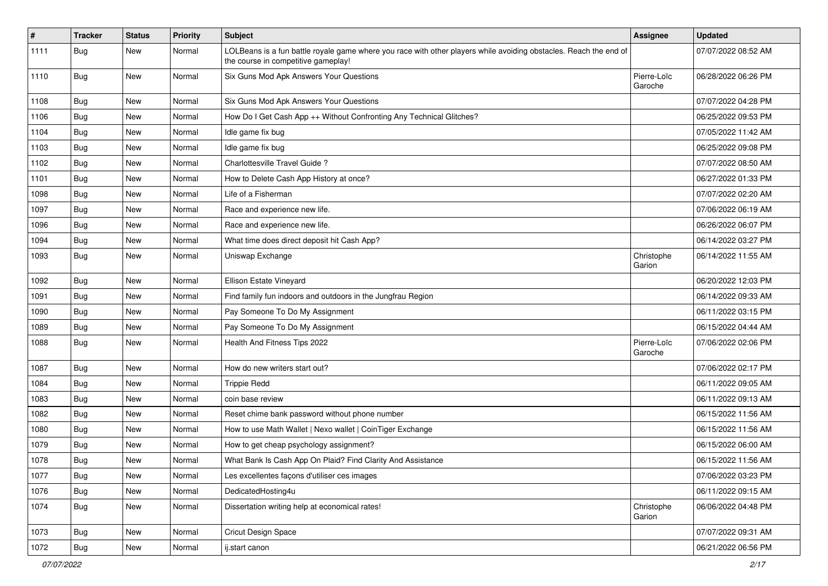| $\vert$ # | <b>Tracker</b> | <b>Status</b> | <b>Priority</b> | <b>Subject</b>                                                                                                                                           | <b>Assignee</b>        | <b>Updated</b>      |
|-----------|----------------|---------------|-----------------|----------------------------------------------------------------------------------------------------------------------------------------------------------|------------------------|---------------------|
| 1111      | Bug            | New           | Normal          | LOLBeans is a fun battle royale game where you race with other players while avoiding obstacles. Reach the end of<br>the course in competitive gameplay! |                        | 07/07/2022 08:52 AM |
| 1110      | Bug            | <b>New</b>    | Normal          | Six Guns Mod Apk Answers Your Questions                                                                                                                  | Pierre-Loïc<br>Garoche | 06/28/2022 06:26 PM |
| 1108      | Bug            | <b>New</b>    | Normal          | Six Guns Mod Apk Answers Your Questions                                                                                                                  |                        | 07/07/2022 04:28 PM |
| 1106      | Bug            | New           | Normal          | How Do I Get Cash App ++ Without Confronting Any Technical Glitches?                                                                                     |                        | 06/25/2022 09:53 PM |
| 1104      | <b>Bug</b>     | New           | Normal          | Idle game fix bug                                                                                                                                        |                        | 07/05/2022 11:42 AM |
| 1103      | Bug            | <b>New</b>    | Normal          | Idle game fix bug                                                                                                                                        |                        | 06/25/2022 09:08 PM |
| 1102      | <b>Bug</b>     | New           | Normal          | Charlottesville Travel Guide?                                                                                                                            |                        | 07/07/2022 08:50 AM |
| 1101      | <b>Bug</b>     | New           | Normal          | How to Delete Cash App History at once?                                                                                                                  |                        | 06/27/2022 01:33 PM |
| 1098      | Bug            | New           | Normal          | Life of a Fisherman                                                                                                                                      |                        | 07/07/2022 02:20 AM |
| 1097      | <b>Bug</b>     | New           | Normal          | Race and experience new life.                                                                                                                            |                        | 07/06/2022 06:19 AM |
| 1096      | Bug            | <b>New</b>    | Normal          | Race and experience new life.                                                                                                                            |                        | 06/26/2022 06:07 PM |
| 1094      | Bug            | New           | Normal          | What time does direct deposit hit Cash App?                                                                                                              |                        | 06/14/2022 03:27 PM |
| 1093      | Bug            | New           | Normal          | Uniswap Exchange                                                                                                                                         | Christophe<br>Garion   | 06/14/2022 11:55 AM |
| 1092      | Bug            | <b>New</b>    | Normal          | Ellison Estate Vineyard                                                                                                                                  |                        | 06/20/2022 12:03 PM |
| 1091      | Bug            | New           | Normal          | Find family fun indoors and outdoors in the Jungfrau Region                                                                                              |                        | 06/14/2022 09:33 AM |
| 1090      | Bug            | New           | Normal          | Pay Someone To Do My Assignment                                                                                                                          |                        | 06/11/2022 03:15 PM |
| 1089      | <b>Bug</b>     | New           | Normal          | Pay Someone To Do My Assignment                                                                                                                          |                        | 06/15/2022 04:44 AM |
| 1088      | Bug            | <b>New</b>    | Normal          | Health And Fitness Tips 2022                                                                                                                             | Pierre-Loïc<br>Garoche | 07/06/2022 02:06 PM |
| 1087      | Bug            | <b>New</b>    | Normal          | How do new writers start out?                                                                                                                            |                        | 07/06/2022 02:17 PM |
| 1084      | Bug            | New           | Normal          | <b>Trippie Redd</b>                                                                                                                                      |                        | 06/11/2022 09:05 AM |
| 1083      | Bug            | New           | Normal          | coin base review                                                                                                                                         |                        | 06/11/2022 09:13 AM |
| 1082      | Bug            | <b>New</b>    | Normal          | Reset chime bank password without phone number                                                                                                           |                        | 06/15/2022 11:56 AM |
| 1080      | <b>Bug</b>     | New           | Normal          | How to use Math Wallet   Nexo wallet   CoinTiger Exchange                                                                                                |                        | 06/15/2022 11:56 AM |
| 1079      | <b>Bug</b>     | New           | Normal          | How to get cheap psychology assignment?                                                                                                                  |                        | 06/15/2022 06:00 AM |
| 1078      | Bug            | New           | Normal          | What Bank Is Cash App On Plaid? Find Clarity And Assistance                                                                                              |                        | 06/15/2022 11:56 AM |
| 1077      | <b>Bug</b>     | New           | Normal          | Les excellentes façons d'utiliser ces images                                                                                                             |                        | 07/06/2022 03:23 PM |
| 1076      | Bug            | New           | Normal          | DedicatedHosting4u                                                                                                                                       |                        | 06/11/2022 09:15 AM |
| 1074      | Bug            | New           | Normal          | Dissertation writing help at economical rates!                                                                                                           | Christophe<br>Garion   | 06/06/2022 04:48 PM |
| 1073      | Bug            | New           | Normal          | Cricut Design Space                                                                                                                                      |                        | 07/07/2022 09:31 AM |
| 1072      | Bug            | New           | Normal          | ij.start canon                                                                                                                                           |                        | 06/21/2022 06:56 PM |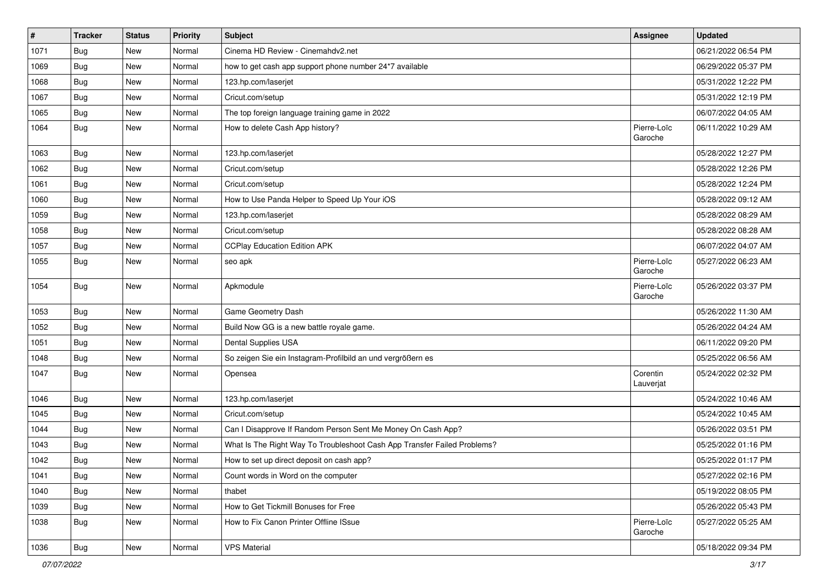| $\vert$ # | <b>Tracker</b> | <b>Status</b> | <b>Priority</b> | Subject                                                                  | <b>Assignee</b>        | <b>Updated</b>      |
|-----------|----------------|---------------|-----------------|--------------------------------------------------------------------------|------------------------|---------------------|
| 1071      | <b>Bug</b>     | New           | Normal          | Cinema HD Review - Cinemahdv2.net                                        |                        | 06/21/2022 06:54 PM |
| 1069      | Bug            | New           | Normal          | how to get cash app support phone number 24*7 available                  |                        | 06/29/2022 05:37 PM |
| 1068      | Bug            | New           | Normal          | 123.hp.com/laserjet                                                      |                        | 05/31/2022 12:22 PM |
| 1067      | Bug            | New           | Normal          | Cricut.com/setup                                                         |                        | 05/31/2022 12:19 PM |
| 1065      | Bug            | New           | Normal          | The top foreign language training game in 2022                           |                        | 06/07/2022 04:05 AM |
| 1064      | Bug            | New           | Normal          | How to delete Cash App history?                                          | Pierre-Loïc<br>Garoche | 06/11/2022 10:29 AM |
| 1063      | Bug            | New           | Normal          | 123.hp.com/laserjet                                                      |                        | 05/28/2022 12:27 PM |
| 1062      | Bug            | New           | Normal          | Cricut.com/setup                                                         |                        | 05/28/2022 12:26 PM |
| 1061      | Bug            | New           | Normal          | Cricut.com/setup                                                         |                        | 05/28/2022 12:24 PM |
| 1060      | Bug            | New           | Normal          | How to Use Panda Helper to Speed Up Your iOS                             |                        | 05/28/2022 09:12 AM |
| 1059      | Bug            | New           | Normal          | 123.hp.com/laserjet                                                      |                        | 05/28/2022 08:29 AM |
| 1058      | Bug            | New           | Normal          | Cricut.com/setup                                                         |                        | 05/28/2022 08:28 AM |
| 1057      | Bug            | New           | Normal          | <b>CCPlay Education Edition APK</b>                                      |                        | 06/07/2022 04:07 AM |
| 1055      | Bug            | New           | Normal          | seo apk                                                                  | Pierre-Loïc<br>Garoche | 05/27/2022 06:23 AM |
| 1054      | Bug            | New           | Normal          | Apkmodule                                                                | Pierre-Loïc<br>Garoche | 05/26/2022 03:37 PM |
| 1053      | Bug            | New           | Normal          | Game Geometry Dash                                                       |                        | 05/26/2022 11:30 AM |
| 1052      | Bug            | New           | Normal          | Build Now GG is a new battle royale game.                                |                        | 05/26/2022 04:24 AM |
| 1051      | Bug            | New           | Normal          | Dental Supplies USA                                                      |                        | 06/11/2022 09:20 PM |
| 1048      | Bug            | New           | Normal          | So zeigen Sie ein Instagram-Profilbild an und vergrößern es              |                        | 05/25/2022 06:56 AM |
| 1047      | Bug            | New           | Normal          | Opensea                                                                  | Corentin<br>Lauverjat  | 05/24/2022 02:32 PM |
| 1046      | Bug            | New           | Normal          | 123.hp.com/laserjet                                                      |                        | 05/24/2022 10:46 AM |
| 1045      | <b>Bug</b>     | New           | Normal          | Cricut.com/setup                                                         |                        | 05/24/2022 10:45 AM |
| 1044      | Bug            | New           | Normal          | Can I Disapprove If Random Person Sent Me Money On Cash App?             |                        | 05/26/2022 03:51 PM |
| 1043      | Bug            | New           | Normal          | What Is The Right Way To Troubleshoot Cash App Transfer Failed Problems? |                        | 05/25/2022 01:16 PM |
| 1042      | <b>Bug</b>     | New           | Normal          | How to set up direct deposit on cash app?                                |                        | 05/25/2022 01:17 PM |
| 1041      | Bug            | New           | Normal          | Count words in Word on the computer                                      |                        | 05/27/2022 02:16 PM |
| 1040      | Bug            | New           | Normal          | thabet                                                                   |                        | 05/19/2022 08:05 PM |
| 1039      | Bug            | New           | Normal          | How to Get Tickmill Bonuses for Free                                     |                        | 05/26/2022 05:43 PM |
| 1038      | Bug            | New           | Normal          | How to Fix Canon Printer Offline ISsue                                   | Pierre-Loïc<br>Garoche | 05/27/2022 05:25 AM |
| 1036      | Bug            | New           | Normal          | <b>VPS Material</b>                                                      |                        | 05/18/2022 09:34 PM |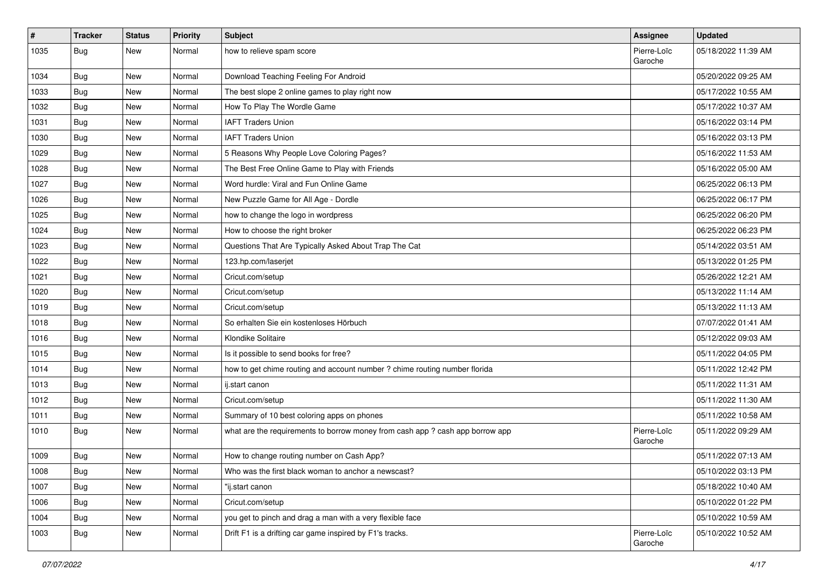| $\vert$ # | <b>Tracker</b> | <b>Status</b> | <b>Priority</b> | Subject                                                                       | <b>Assignee</b>        | <b>Updated</b>      |
|-----------|----------------|---------------|-----------------|-------------------------------------------------------------------------------|------------------------|---------------------|
| 1035      | Bug            | New           | Normal          | how to relieve spam score                                                     | Pierre-Loïc<br>Garoche | 05/18/2022 11:39 AM |
| 1034      | Bug            | New           | Normal          | Download Teaching Feeling For Android                                         |                        | 05/20/2022 09:25 AM |
| 1033      | Bug            | New           | Normal          | The best slope 2 online games to play right now                               |                        | 05/17/2022 10:55 AM |
| 1032      | Bug            | <b>New</b>    | Normal          | How To Play The Wordle Game                                                   |                        | 05/17/2022 10:37 AM |
| 1031      | Bug            | New           | Normal          | <b>IAFT Traders Union</b>                                                     |                        | 05/16/2022 03:14 PM |
| 1030      | Bug            | New           | Normal          | <b>IAFT Traders Union</b>                                                     |                        | 05/16/2022 03:13 PM |
| 1029      | Bug            | New           | Normal          | 5 Reasons Why People Love Coloring Pages?                                     |                        | 05/16/2022 11:53 AM |
| 1028      | Bug            | <b>New</b>    | Normal          | The Best Free Online Game to Play with Friends                                |                        | 05/16/2022 05:00 AM |
| 1027      | Bug            | <b>New</b>    | Normal          | Word hurdle: Viral and Fun Online Game                                        |                        | 06/25/2022 06:13 PM |
| 1026      | Bug            | New           | Normal          | New Puzzle Game for All Age - Dordle                                          |                        | 06/25/2022 06:17 PM |
| 1025      | Bug            | New           | Normal          | how to change the logo in wordpress                                           |                        | 06/25/2022 06:20 PM |
| 1024      | Bug            | <b>New</b>    | Normal          | How to choose the right broker                                                |                        | 06/25/2022 06:23 PM |
| 1023      | Bug            | <b>New</b>    | Normal          | Questions That Are Typically Asked About Trap The Cat                         |                        | 05/14/2022 03:51 AM |
| 1022      | Bug            | <b>New</b>    | Normal          | 123.hp.com/laserjet                                                           |                        | 05/13/2022 01:25 PM |
| 1021      | Bug            | New           | Normal          | Cricut.com/setup                                                              |                        | 05/26/2022 12:21 AM |
| 1020      | <b>Bug</b>     | New           | Normal          | Cricut.com/setup                                                              |                        | 05/13/2022 11:14 AM |
| 1019      | Bug            | <b>New</b>    | Normal          | Cricut.com/setup                                                              |                        | 05/13/2022 11:13 AM |
| 1018      | Bug            | New           | Normal          | So erhalten Sie ein kostenloses Hörbuch                                       |                        | 07/07/2022 01:41 AM |
| 1016      | Bug            | New           | Normal          | Klondike Solitaire                                                            |                        | 05/12/2022 09:03 AM |
| 1015      | Bug            | New           | Normal          | Is it possible to send books for free?                                        |                        | 05/11/2022 04:05 PM |
| 1014      | Bug            | <b>New</b>    | Normal          | how to get chime routing and account number ? chime routing number florida    |                        | 05/11/2022 12:42 PM |
| 1013      | Bug            | <b>New</b>    | Normal          | ij.start canon                                                                |                        | 05/11/2022 11:31 AM |
| 1012      | <b>Bug</b>     | New           | Normal          | Cricut.com/setup                                                              |                        | 05/11/2022 11:30 AM |
| 1011      | Bug            | New           | Normal          | Summary of 10 best coloring apps on phones                                    |                        | 05/11/2022 10:58 AM |
| 1010      | Bug            | New           | Normal          | what are the requirements to borrow money from cash app ? cash app borrow app | Pierre-Loïc<br>Garoche | 05/11/2022 09:29 AM |
| 1009      | Bug            | <b>New</b>    | Normal          | How to change routing number on Cash App?                                     |                        | 05/11/2022 07:13 AM |
| 1008      | Bug            | New           | Normal          | Who was the first black woman to anchor a newscast?                           |                        | 05/10/2022 03:13 PM |
| 1007      | Bug            | <b>New</b>    | Normal          | "ij.start canon                                                               |                        | 05/18/2022 10:40 AM |
| 1006      | Bug            | New           | Normal          | Cricut.com/setup                                                              |                        | 05/10/2022 01:22 PM |
| 1004      | Bug            | New           | Normal          | you get to pinch and drag a man with a very flexible face                     |                        | 05/10/2022 10:59 AM |
| 1003      | <b>Bug</b>     | New           | Normal          | Drift F1 is a drifting car game inspired by F1's tracks.                      | Pierre-Loïc<br>Garoche | 05/10/2022 10:52 AM |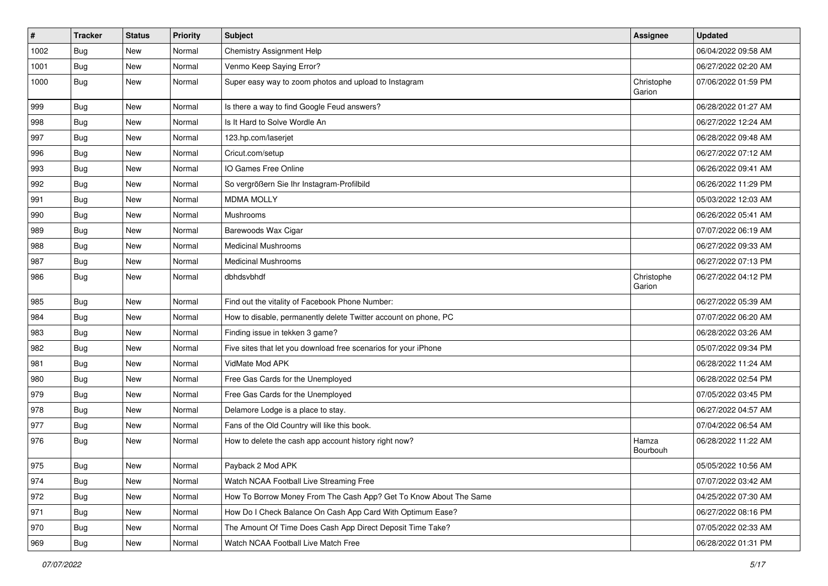| $\vert$ # | <b>Tracker</b> | <b>Status</b> | <b>Priority</b> | <b>Subject</b>                                                    | <b>Assignee</b>      | <b>Updated</b>      |
|-----------|----------------|---------------|-----------------|-------------------------------------------------------------------|----------------------|---------------------|
| 1002      | <b>Bug</b>     | New           | Normal          | Chemistry Assignment Help                                         |                      | 06/04/2022 09:58 AM |
| 1001      | Bug            | <b>New</b>    | Normal          | Venmo Keep Saying Error?                                          |                      | 06/27/2022 02:20 AM |
| 1000      | Bug            | <b>New</b>    | Normal          | Super easy way to zoom photos and upload to Instagram             | Christophe<br>Garion | 07/06/2022 01:59 PM |
| 999       | Bug            | <b>New</b>    | Normal          | Is there a way to find Google Feud answers?                       |                      | 06/28/2022 01:27 AM |
| 998       | Bug            | <b>New</b>    | Normal          | Is It Hard to Solve Wordle An                                     |                      | 06/27/2022 12:24 AM |
| 997       | Bug            | New           | Normal          | 123.hp.com/laserjet                                               |                      | 06/28/2022 09:48 AM |
| 996       | Bug            | New           | Normal          | Cricut.com/setup                                                  |                      | 06/27/2022 07:12 AM |
| 993       | Bug            | New           | Normal          | IO Games Free Online                                              |                      | 06/26/2022 09:41 AM |
| 992       | Bug            | <b>New</b>    | Normal          | So vergrößern Sie Ihr Instagram-Profilbild                        |                      | 06/26/2022 11:29 PM |
| 991       | Bug            | New           | Normal          | <b>MDMA MOLLY</b>                                                 |                      | 05/03/2022 12:03 AM |
| 990       | <b>Bug</b>     | New           | Normal          | Mushrooms                                                         |                      | 06/26/2022 05:41 AM |
| 989       | Bug            | <b>New</b>    | Normal          | Barewoods Wax Cigar                                               |                      | 07/07/2022 06:19 AM |
| 988       | <b>Bug</b>     | New           | Normal          | <b>Medicinal Mushrooms</b>                                        |                      | 06/27/2022 09:33 AM |
| 987       | Bug            | New           | Normal          | <b>Medicinal Mushrooms</b>                                        |                      | 06/27/2022 07:13 PM |
| 986       | Bug            | New           | Normal          | dbhdsvbhdf                                                        | Christophe<br>Garion | 06/27/2022 04:12 PM |
| 985       | Bug            | <b>New</b>    | Normal          | Find out the vitality of Facebook Phone Number:                   |                      | 06/27/2022 05:39 AM |
| 984       | <b>Bug</b>     | New           | Normal          | How to disable, permanently delete Twitter account on phone, PC   |                      | 07/07/2022 06:20 AM |
| 983       | <b>Bug</b>     | New           | Normal          | Finding issue in tekken 3 game?                                   |                      | 06/28/2022 03:26 AM |
| 982       | Bug            | <b>New</b>    | Normal          | Five sites that let you download free scenarios for your iPhone   |                      | 05/07/2022 09:34 PM |
| 981       | <b>Bug</b>     | <b>New</b>    | Normal          | VidMate Mod APK                                                   |                      | 06/28/2022 11:24 AM |
| 980       | Bug            | New           | Normal          | Free Gas Cards for the Unemployed                                 |                      | 06/28/2022 02:54 PM |
| 979       | Bug            | New           | Normal          | Free Gas Cards for the Unemployed                                 |                      | 07/05/2022 03:45 PM |
| 978       | <b>Bug</b>     | New           | Normal          | Delamore Lodge is a place to stay.                                |                      | 06/27/2022 04:57 AM |
| 977       | Bug            | <b>New</b>    | Normal          | Fans of the Old Country will like this book.                      |                      | 07/04/2022 06:54 AM |
| 976       | <b>Bug</b>     | New           | Normal          | How to delete the cash app account history right now?             | Hamza<br>Bourbouh    | 06/28/2022 11:22 AM |
| 975       | Bug            | New           | Normal          | Payback 2 Mod APK                                                 |                      | 05/05/2022 10:56 AM |
| 974       | <b>Bug</b>     | New           | Normal          | Watch NCAA Football Live Streaming Free                           |                      | 07/07/2022 03:42 AM |
| 972       | <b>Bug</b>     | New           | Normal          | How To Borrow Money From The Cash App? Get To Know About The Same |                      | 04/25/2022 07:30 AM |
| 971       | Bug            | New           | Normal          | How Do I Check Balance On Cash App Card With Optimum Ease?        |                      | 06/27/2022 08:16 PM |
| 970       | Bug            | New           | Normal          | The Amount Of Time Does Cash App Direct Deposit Time Take?        |                      | 07/05/2022 02:33 AM |
| 969       | Bug            | New           | Normal          | Watch NCAA Football Live Match Free                               |                      | 06/28/2022 01:31 PM |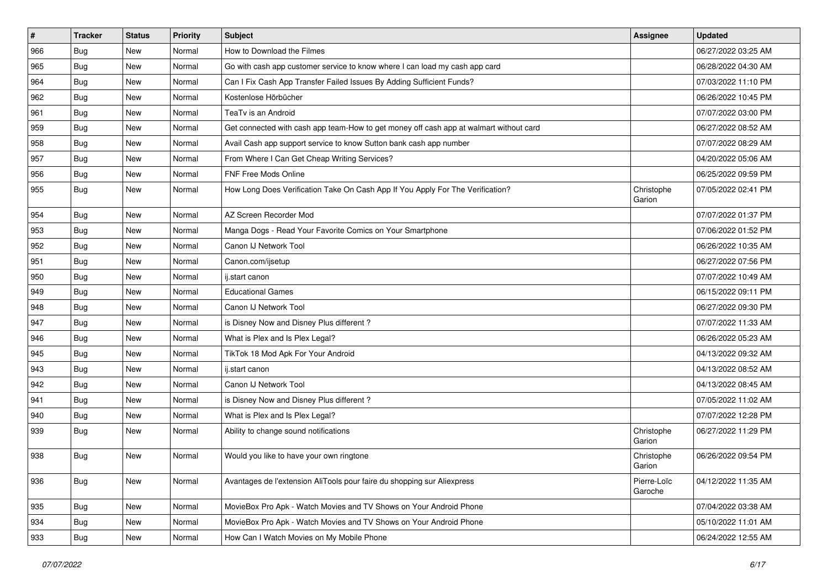| #   | <b>Tracker</b> | <b>Status</b> | <b>Priority</b> | <b>Subject</b>                                                                         | <b>Assignee</b>        | <b>Updated</b>      |
|-----|----------------|---------------|-----------------|----------------------------------------------------------------------------------------|------------------------|---------------------|
| 966 | <b>Bug</b>     | New           | Normal          | How to Download the Filmes                                                             |                        | 06/27/2022 03:25 AM |
| 965 | Bug            | <b>New</b>    | Normal          | Go with cash app customer service to know where I can load my cash app card            |                        | 06/28/2022 04:30 AM |
| 964 | Bug            | New           | Normal          | Can I Fix Cash App Transfer Failed Issues By Adding Sufficient Funds?                  |                        | 07/03/2022 11:10 PM |
| 962 | <b>Bug</b>     | New           | Normal          | Kostenlose Hörbücher                                                                   |                        | 06/26/2022 10:45 PM |
| 961 | Bug            | <b>New</b>    | Normal          | TeaTv is an Android                                                                    |                        | 07/07/2022 03:00 PM |
| 959 | <b>Bug</b>     | New           | Normal          | Get connected with cash app team-How to get money off cash app at walmart without card |                        | 06/27/2022 08:52 AM |
| 958 | <b>Bug</b>     | New           | Normal          | Avail Cash app support service to know Sutton bank cash app number                     |                        | 07/07/2022 08:29 AM |
| 957 | Bug            | New           | Normal          | From Where I Can Get Cheap Writing Services?                                           |                        | 04/20/2022 05:06 AM |
| 956 | Bug            | New           | Normal          | FNF Free Mods Online                                                                   |                        | 06/25/2022 09:59 PM |
| 955 | <b>Bug</b>     | New           | Normal          | How Long Does Verification Take On Cash App If You Apply For The Verification?         | Christophe<br>Garion   | 07/05/2022 02:41 PM |
| 954 | <b>Bug</b>     | New           | Normal          | AZ Screen Recorder Mod                                                                 |                        | 07/07/2022 01:37 PM |
| 953 | Bug            | <b>New</b>    | Normal          | Manga Dogs - Read Your Favorite Comics on Your Smartphone                              |                        | 07/06/2022 01:52 PM |
| 952 | <b>Bug</b>     | New           | Normal          | Canon IJ Network Tool                                                                  |                        | 06/26/2022 10:35 AM |
| 951 | <b>Bug</b>     | New           | Normal          | Canon.com/ijsetup                                                                      |                        | 06/27/2022 07:56 PM |
| 950 | Bug            | New           | Normal          | ij.start canon                                                                         |                        | 07/07/2022 10:49 AM |
| 949 | <b>Bug</b>     | New           | Normal          | <b>Educational Games</b>                                                               |                        | 06/15/2022 09:11 PM |
| 948 | Bug            | <b>New</b>    | Normal          | Canon IJ Network Tool                                                                  |                        | 06/27/2022 09:30 PM |
| 947 | <b>Bug</b>     | New           | Normal          | is Disney Now and Disney Plus different?                                               |                        | 07/07/2022 11:33 AM |
| 946 | Bug            | New           | Normal          | What is Plex and Is Plex Legal?                                                        |                        | 06/26/2022 05:23 AM |
| 945 | Bug            | <b>New</b>    | Normal          | TikTok 18 Mod Apk For Your Android                                                     |                        | 04/13/2022 09:32 AM |
| 943 | Bug            | New           | Normal          | ij.start canon                                                                         |                        | 04/13/2022 08:52 AM |
| 942 | <b>Bug</b>     | <b>New</b>    | Normal          | Canon IJ Network Tool                                                                  |                        | 04/13/2022 08:45 AM |
| 941 | <b>Bug</b>     | New           | Normal          | is Disney Now and Disney Plus different?                                               |                        | 07/05/2022 11:02 AM |
| 940 | <b>Bug</b>     | New           | Normal          | What is Plex and Is Plex Legal?                                                        |                        | 07/07/2022 12:28 PM |
| 939 | Bug            | New           | Normal          | Ability to change sound notifications                                                  | Christophe<br>Garion   | 06/27/2022 11:29 PM |
| 938 | Bug            | New           | Normal          | Would you like to have your own ringtone                                               | Christophe<br>Garion   | 06/26/2022 09:54 PM |
| 936 | <b>Bug</b>     | New           | Normal          | Avantages de l'extension AliTools pour faire du shopping sur Aliexpress                | Pierre-Loïc<br>Garoche | 04/12/2022 11:35 AM |
| 935 | <b>Bug</b>     | New           | Normal          | MovieBox Pro Apk - Watch Movies and TV Shows on Your Android Phone                     |                        | 07/04/2022 03:38 AM |
| 934 | <b>Bug</b>     | New           | Normal          | MovieBox Pro Apk - Watch Movies and TV Shows on Your Android Phone                     |                        | 05/10/2022 11:01 AM |
| 933 | <b>Bug</b>     | New           | Normal          | How Can I Watch Movies on My Mobile Phone                                              |                        | 06/24/2022 12:55 AM |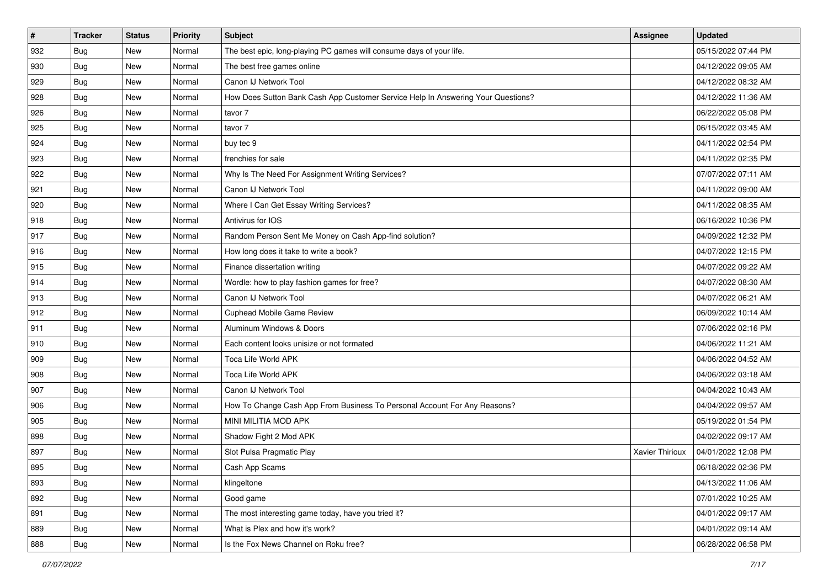| #   | <b>Tracker</b> | <b>Status</b> | <b>Priority</b> | Subject                                                                          | <b>Assignee</b>        | <b>Updated</b>      |
|-----|----------------|---------------|-----------------|----------------------------------------------------------------------------------|------------------------|---------------------|
| 932 | <b>Bug</b>     | New           | Normal          | The best epic, long-playing PC games will consume days of your life.             |                        | 05/15/2022 07:44 PM |
| 930 | <b>Bug</b>     | New           | Normal          | The best free games online                                                       |                        | 04/12/2022 09:05 AM |
| 929 | <b>Bug</b>     | New           | Normal          | Canon IJ Network Tool                                                            |                        | 04/12/2022 08:32 AM |
| 928 | <b>Bug</b>     | New           | Normal          | How Does Sutton Bank Cash App Customer Service Help In Answering Your Questions? |                        | 04/12/2022 11:36 AM |
| 926 | <b>Bug</b>     | New           | Normal          | tavor 7                                                                          |                        | 06/22/2022 05:08 PM |
| 925 | Bug            | New           | Normal          | tavor 7                                                                          |                        | 06/15/2022 03:45 AM |
| 924 | <b>Bug</b>     | New           | Normal          | buy tec 9                                                                        |                        | 04/11/2022 02:54 PM |
| 923 | Bug            | New           | Normal          | frenchies for sale                                                               |                        | 04/11/2022 02:35 PM |
| 922 | <b>Bug</b>     | New           | Normal          | Why Is The Need For Assignment Writing Services?                                 |                        | 07/07/2022 07:11 AM |
| 921 | <b>Bug</b>     | New           | Normal          | Canon IJ Network Tool                                                            |                        | 04/11/2022 09:00 AM |
| 920 | Bug            | New           | Normal          | Where I Can Get Essay Writing Services?                                          |                        | 04/11/2022 08:35 AM |
| 918 | <b>Bug</b>     | New           | Normal          | Antivirus for IOS                                                                |                        | 06/16/2022 10:36 PM |
| 917 | Bug            | <b>New</b>    | Normal          | Random Person Sent Me Money on Cash App-find solution?                           |                        | 04/09/2022 12:32 PM |
| 916 | <b>Bug</b>     | New           | Normal          | How long does it take to write a book?                                           |                        | 04/07/2022 12:15 PM |
| 915 | Bug            | New           | Normal          | Finance dissertation writing                                                     |                        | 04/07/2022 09:22 AM |
| 914 | Bug            | New           | Normal          | Wordle: how to play fashion games for free?                                      |                        | 04/07/2022 08:30 AM |
| 913 | <b>Bug</b>     | New           | Normal          | Canon IJ Network Tool                                                            |                        | 04/07/2022 06:21 AM |
| 912 | Bug            | <b>New</b>    | Normal          | Cuphead Mobile Game Review                                                       |                        | 06/09/2022 10:14 AM |
| 911 | <b>Bug</b>     | New           | Normal          | Aluminum Windows & Doors                                                         |                        | 07/06/2022 02:16 PM |
| 910 | <b>Bug</b>     | New           | Normal          | Each content looks unisize or not formated                                       |                        | 04/06/2022 11:21 AM |
| 909 | <b>Bug</b>     | New           | Normal          | Toca Life World APK                                                              |                        | 04/06/2022 04:52 AM |
| 908 | <b>Bug</b>     | New           | Normal          | <b>Toca Life World APK</b>                                                       |                        | 04/06/2022 03:18 AM |
| 907 | Bug            | New           | Normal          | Canon IJ Network Tool                                                            |                        | 04/04/2022 10:43 AM |
| 906 | <b>Bug</b>     | New           | Normal          | How To Change Cash App From Business To Personal Account For Any Reasons?        |                        | 04/04/2022 09:57 AM |
| 905 | Bug            | New           | Normal          | MINI MILITIA MOD APK                                                             |                        | 05/19/2022 01:54 PM |
| 898 | <b>Bug</b>     | New           | Normal          | Shadow Fight 2 Mod APK                                                           |                        | 04/02/2022 09:17 AM |
| 897 | Bug            | New           | Normal          | Slot Pulsa Pragmatic Play                                                        | <b>Xavier Thirioux</b> | 04/01/2022 12:08 PM |
| 895 | Bug            | New           | Normal          | Cash App Scams                                                                   |                        | 06/18/2022 02:36 PM |
| 893 | Bug            | New           | Normal          | klingeltone                                                                      |                        | 04/13/2022 11:06 AM |
| 892 | <b>Bug</b>     | New           | Normal          | Good game                                                                        |                        | 07/01/2022 10:25 AM |
| 891 | Bug            | New           | Normal          | The most interesting game today, have you tried it?                              |                        | 04/01/2022 09:17 AM |
| 889 | Bug            | New           | Normal          | What is Plex and how it's work?                                                  |                        | 04/01/2022 09:14 AM |
| 888 | Bug            | New           | Normal          | Is the Fox News Channel on Roku free?                                            |                        | 06/28/2022 06:58 PM |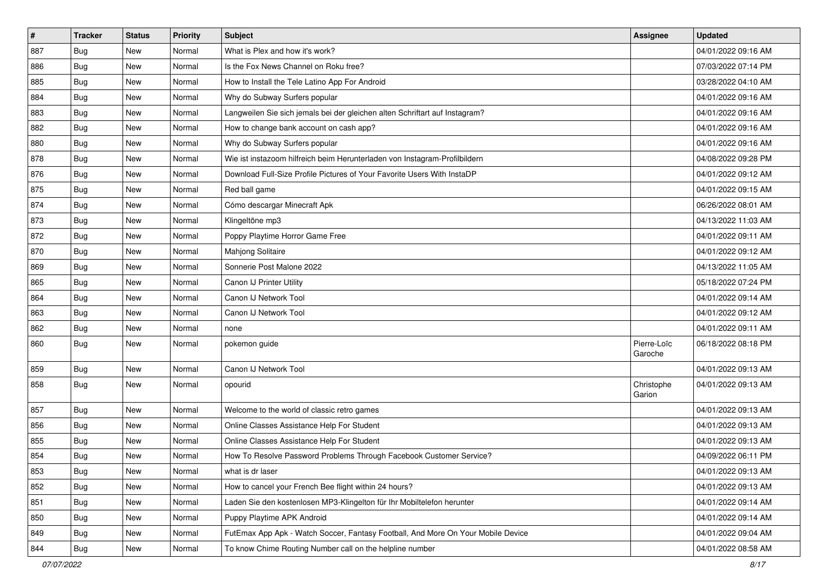| $\sharp$ | <b>Tracker</b> | <b>Status</b> | <b>Priority</b> | <b>Subject</b>                                                                   | <b>Assignee</b>        | <b>Updated</b>      |
|----------|----------------|---------------|-----------------|----------------------------------------------------------------------------------|------------------------|---------------------|
| 887      | <b>Bug</b>     | New           | Normal          | What is Plex and how it's work?                                                  |                        | 04/01/2022 09:16 AM |
| 886      | Bug            | <b>New</b>    | Normal          | Is the Fox News Channel on Roku free?                                            |                        | 07/03/2022 07:14 PM |
| 885      | Bug            | <b>New</b>    | Normal          | How to Install the Tele Latino App For Android                                   |                        | 03/28/2022 04:10 AM |
| 884      | <b>Bug</b>     | New           | Normal          | Why do Subway Surfers popular                                                    |                        | 04/01/2022 09:16 AM |
| 883      | Bug            | <b>New</b>    | Normal          | Langweilen Sie sich jemals bei der gleichen alten Schriftart auf Instagram?      |                        | 04/01/2022 09:16 AM |
| 882      | <b>Bug</b>     | New           | Normal          | How to change bank account on cash app?                                          |                        | 04/01/2022 09:16 AM |
| 880      | Bug            | New           | Normal          | Why do Subway Surfers popular                                                    |                        | 04/01/2022 09:16 AM |
| 878      | <b>Bug</b>     | New           | Normal          | Wie ist instazoom hilfreich beim Herunterladen von Instagram-Profilbildern       |                        | 04/08/2022 09:28 PM |
| 876      | Bug            | <b>New</b>    | Normal          | Download Full-Size Profile Pictures of Your Favorite Users With InstaDP          |                        | 04/01/2022 09:12 AM |
| 875      | <b>Bug</b>     | New           | Normal          | Red ball game                                                                    |                        | 04/01/2022 09:15 AM |
| 874      | Bug            | New           | Normal          | Cómo descargar Minecraft Apk                                                     |                        | 06/26/2022 08:01 AM |
| 873      | <b>Bug</b>     | New           | Normal          | Klingeltöne mp3                                                                  |                        | 04/13/2022 11:03 AM |
| 872      | Bug            | New           | Normal          | Poppy Playtime Horror Game Free                                                  |                        | 04/01/2022 09:11 AM |
| 870      | Bug            | New           | Normal          | Mahjong Solitaire                                                                |                        | 04/01/2022 09:12 AM |
| 869      | Bug            | New           | Normal          | Sonnerie Post Malone 2022                                                        |                        | 04/13/2022 11:05 AM |
| 865      | Bug            | New           | Normal          | Canon IJ Printer Utility                                                         |                        | 05/18/2022 07:24 PM |
| 864      | <b>Bug</b>     | New           | Normal          | Canon IJ Network Tool                                                            |                        | 04/01/2022 09:14 AM |
| 863      | Bug            | <b>New</b>    | Normal          | Canon IJ Network Tool                                                            |                        | 04/01/2022 09:12 AM |
| 862      | <b>Bug</b>     | New           | Normal          | none                                                                             |                        | 04/01/2022 09:11 AM |
| 860      | <b>Bug</b>     | New           | Normal          | pokemon guide                                                                    | Pierre-Loïc<br>Garoche | 06/18/2022 08:18 PM |
| 859      | Bug            | <b>New</b>    | Normal          | Canon IJ Network Tool                                                            |                        | 04/01/2022 09:13 AM |
| 858      | <b>Bug</b>     | New           | Normal          | opourid                                                                          | Christophe<br>Garion   | 04/01/2022 09:13 AM |
| 857      | Bug            | <b>New</b>    | Normal          | Welcome to the world of classic retro games                                      |                        | 04/01/2022 09:13 AM |
| 856      | Bug            | <b>New</b>    | Normal          | Online Classes Assistance Help For Student                                       |                        | 04/01/2022 09:13 AM |
| 855      | <b>Bug</b>     | New           | Normal          | Online Classes Assistance Help For Student                                       |                        | 04/01/2022 09:13 AM |
| 854      | <b>Bug</b>     | New           | Normal          | How To Resolve Password Problems Through Facebook Customer Service?              |                        | 04/09/2022 06:11 PM |
| 853      | Bug            | New           | Normal          | what is dr laser                                                                 |                        | 04/01/2022 09:13 AM |
| 852      | <b>Bug</b>     | <b>New</b>    | Normal          | How to cancel your French Bee flight within 24 hours?                            |                        | 04/01/2022 09:13 AM |
| 851      | Bug            | New           | Normal          | Laden Sie den kostenlosen MP3-Klingelton für Ihr Mobiltelefon herunter           |                        | 04/01/2022 09:14 AM |
| 850      | <b>Bug</b>     | New           | Normal          | Puppy Playtime APK Android                                                       |                        | 04/01/2022 09:14 AM |
| 849      | <b>Bug</b>     | New           | Normal          | FutEmax App Apk - Watch Soccer, Fantasy Football, And More On Your Mobile Device |                        | 04/01/2022 09:04 AM |
| 844      | Bug            | New           | Normal          | To know Chime Routing Number call on the helpline number                         |                        | 04/01/2022 08:58 AM |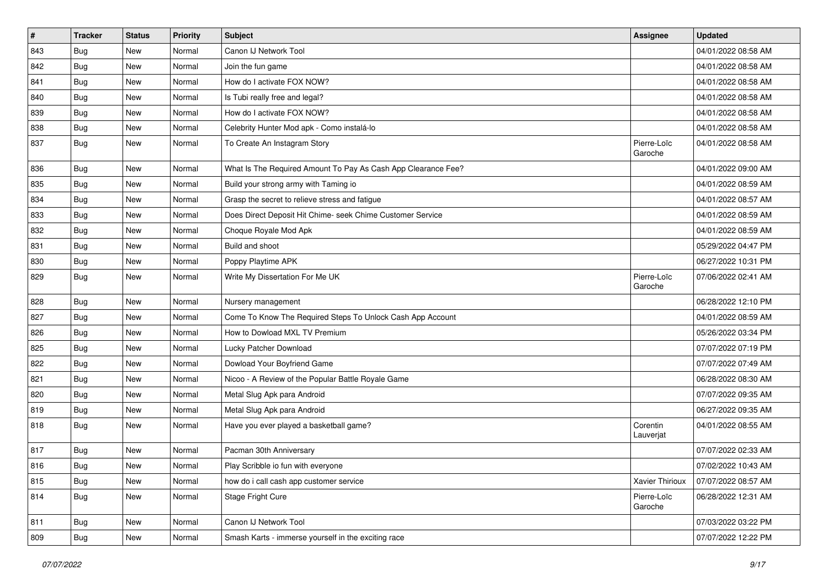| $\pmb{\#}$ | <b>Tracker</b> | <b>Status</b> | <b>Priority</b> | <b>Subject</b>                                                | <b>Assignee</b>        | <b>Updated</b>      |
|------------|----------------|---------------|-----------------|---------------------------------------------------------------|------------------------|---------------------|
| 843        | <b>Bug</b>     | New           | Normal          | Canon IJ Network Tool                                         |                        | 04/01/2022 08:58 AM |
| 842        | Bug            | <b>New</b>    | Normal          | Join the fun game                                             |                        | 04/01/2022 08:58 AM |
| 841        | <b>Bug</b>     | New           | Normal          | How do I activate FOX NOW?                                    |                        | 04/01/2022 08:58 AM |
| 840        | Bug            | New           | Normal          | Is Tubi really free and legal?                                |                        | 04/01/2022 08:58 AM |
| 839        | Bug            | <b>New</b>    | Normal          | How do I activate FOX NOW?                                    |                        | 04/01/2022 08:58 AM |
| 838        | Bug            | New           | Normal          | Celebrity Hunter Mod apk - Como instalá-lo                    |                        | 04/01/2022 08:58 AM |
| 837        | Bug            | New           | Normal          | To Create An Instagram Story                                  | Pierre-Loïc<br>Garoche | 04/01/2022 08:58 AM |
| 836        | <b>Bug</b>     | <b>New</b>    | Normal          | What Is The Required Amount To Pay As Cash App Clearance Fee? |                        | 04/01/2022 09:00 AM |
| 835        | Bug            | <b>New</b>    | Normal          | Build your strong army with Taming io                         |                        | 04/01/2022 08:59 AM |
| 834        | <b>Bug</b>     | New           | Normal          | Grasp the secret to relieve stress and fatigue                |                        | 04/01/2022 08:57 AM |
| 833        | Bug            | New           | Normal          | Does Direct Deposit Hit Chime- seek Chime Customer Service    |                        | 04/01/2022 08:59 AM |
| 832        | Bug            | <b>New</b>    | Normal          | Choque Royale Mod Apk                                         |                        | 04/01/2022 08:59 AM |
| 831        | <b>Bug</b>     | New           | Normal          | Build and shoot                                               |                        | 05/29/2022 04:47 PM |
| 830        | <b>Bug</b>     | New           | Normal          | Poppy Playtime APK                                            |                        | 06/27/2022 10:31 PM |
| 829        | Bug            | New           | Normal          | Write My Dissertation For Me UK                               | Pierre-Loïc<br>Garoche | 07/06/2022 02:41 AM |
| 828        | Bug            | <b>New</b>    | Normal          | Nursery management                                            |                        | 06/28/2022 12:10 PM |
| 827        | Bug            | New           | Normal          | Come To Know The Required Steps To Unlock Cash App Account    |                        | 04/01/2022 08:59 AM |
| 826        | Bug            | <b>New</b>    | Normal          | How to Dowload MXL TV Premium                                 |                        | 05/26/2022 03:34 PM |
| 825        | Bug            | <b>New</b>    | Normal          | Lucky Patcher Download                                        |                        | 07/07/2022 07:19 PM |
| 822        | <b>Bug</b>     | <b>New</b>    | Normal          | Dowload Your Boyfriend Game                                   |                        | 07/07/2022 07:49 AM |
| 821        | Bug            | <b>New</b>    | Normal          | Nicoo - A Review of the Popular Battle Royale Game            |                        | 06/28/2022 08:30 AM |
| 820        | <b>Bug</b>     | New           | Normal          | Metal Slug Apk para Android                                   |                        | 07/07/2022 09:35 AM |
| 819        | <b>Bug</b>     | New           | Normal          | Metal Slug Apk para Android                                   |                        | 06/27/2022 09:35 AM |
| 818        | Bug            | <b>New</b>    | Normal          | Have you ever played a basketball game?                       | Corentin<br>Lauverjat  | 04/01/2022 08:55 AM |
| 817        | <b>Bug</b>     | New           | Normal          | Pacman 30th Anniversary                                       |                        | 07/07/2022 02:33 AM |
| 816        | Bug            | New           | Normal          | Play Scribble io fun with everyone                            |                        | 07/02/2022 10:43 AM |
| 815        | Bug            | New           | Normal          | how do i call cash app customer service                       | Xavier Thirioux        | 07/07/2022 08:57 AM |
| 814        | <b>Bug</b>     | New           | Normal          | Stage Fright Cure                                             | Pierre-Loïc<br>Garoche | 06/28/2022 12:31 AM |
| 811        | <b>Bug</b>     | New           | Normal          | Canon IJ Network Tool                                         |                        | 07/03/2022 03:22 PM |
| 809        | <b>Bug</b>     | New           | Normal          | Smash Karts - immerse yourself in the exciting race           |                        | 07/07/2022 12:22 PM |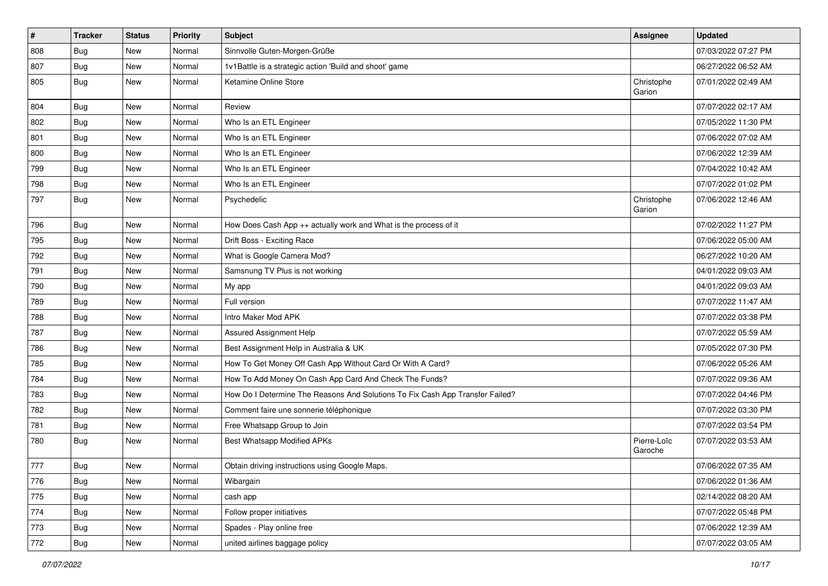| $\vert$ # | <b>Tracker</b> | <b>Status</b> | <b>Priority</b> | <b>Subject</b>                                                                | <b>Assignee</b>        | <b>Updated</b>      |
|-----------|----------------|---------------|-----------------|-------------------------------------------------------------------------------|------------------------|---------------------|
| 808       | <b>Bug</b>     | New           | Normal          | Sinnvolle Guten-Morgen-Grüße                                                  |                        | 07/03/2022 07:27 PM |
| 807       | Bug            | New           | Normal          | 1v1Battle is a strategic action 'Build and shoot' game                        |                        | 06/27/2022 06:52 AM |
| 805       | Bug            | New           | Normal          | Ketamine Online Store                                                         | Christophe<br>Garion   | 07/01/2022 02:49 AM |
| 804       | Bug            | New           | Normal          | Review                                                                        |                        | 07/07/2022 02:17 AM |
| 802       | Bug            | New           | Normal          | Who Is an ETL Engineer                                                        |                        | 07/05/2022 11:30 PM |
| 801       | Bug            | New           | Normal          | Who Is an ETL Engineer                                                        |                        | 07/06/2022 07:02 AM |
| 800       | Bug            | New           | Normal          | Who Is an ETL Engineer                                                        |                        | 07/06/2022 12:39 AM |
| 799       | <b>Bug</b>     | New           | Normal          | Who Is an ETL Engineer                                                        |                        | 07/04/2022 10:42 AM |
| 798       | Bug            | New           | Normal          | Who Is an ETL Engineer                                                        |                        | 07/07/2022 01:02 PM |
| 797       | Bug            | New           | Normal          | Psychedelic                                                                   | Christophe<br>Garion   | 07/06/2022 12:46 AM |
| 796       | Bug            | New           | Normal          | How Does Cash App ++ actually work and What is the process of it              |                        | 07/02/2022 11:27 PM |
| 795       | Bug            | New           | Normal          | Drift Boss - Exciting Race                                                    |                        | 07/06/2022 05:00 AM |
| 792       | Bug            | New           | Normal          | What is Google Camera Mod?                                                    |                        | 06/27/2022 10:20 AM |
| 791       | Bug            | New           | Normal          | Samsnung TV Plus is not working                                               |                        | 04/01/2022 09:03 AM |
| 790       | <b>Bug</b>     | New           | Normal          | My app                                                                        |                        | 04/01/2022 09:03 AM |
| 789       | <b>Bug</b>     | New           | Normal          | Full version                                                                  |                        | 07/07/2022 11:47 AM |
| 788       | <b>Bug</b>     | New           | Normal          | Intro Maker Mod APK                                                           |                        | 07/07/2022 03:38 PM |
| 787       | <b>Bug</b>     | New           | Normal          | Assured Assignment Help                                                       |                        | 07/07/2022 05:59 AM |
| 786       | Bug            | New           | Normal          | Best Assignment Help in Australia & UK                                        |                        | 07/05/2022 07:30 PM |
| 785       | <b>Bug</b>     | New           | Normal          | How To Get Money Off Cash App Without Card Or With A Card?                    |                        | 07/06/2022 05:26 AM |
| 784       | Bug            | New           | Normal          | How To Add Money On Cash App Card And Check The Funds?                        |                        | 07/07/2022 09:36 AM |
| 783       | Bug            | New           | Normal          | How Do I Determine The Reasons And Solutions To Fix Cash App Transfer Failed? |                        | 07/07/2022 04:46 PM |
| 782       | <b>Bug</b>     | New           | Normal          | Comment faire une sonnerie téléphonique                                       |                        | 07/07/2022 03:30 PM |
| 781       | Bug            | New           | Normal          | Free Whatsapp Group to Join                                                   |                        | 07/07/2022 03:54 PM |
| 780       | Bug            | New           | Normal          | Best Whatsapp Modified APKs                                                   | Pierre-Loïc<br>Garoche | 07/07/2022 03:53 AM |
| 777       | Bug            | New           | Normal          | Obtain driving instructions using Google Maps.                                |                        | 07/06/2022 07:35 AM |
| 776       | Bug            | New           | Normal          | Wibargain                                                                     |                        | 07/06/2022 01:36 AM |
| 775       | Bug            | New           | Normal          | cash app                                                                      |                        | 02/14/2022 08:20 AM |
| 774       | Bug            | New           | Normal          | Follow proper initiatives                                                     |                        | 07/07/2022 05:48 PM |
| 773       | <b>Bug</b>     | New           | Normal          | Spades - Play online free                                                     |                        | 07/06/2022 12:39 AM |
| 772       | Bug            | New           | Normal          | united airlines baggage policy                                                |                        | 07/07/2022 03:05 AM |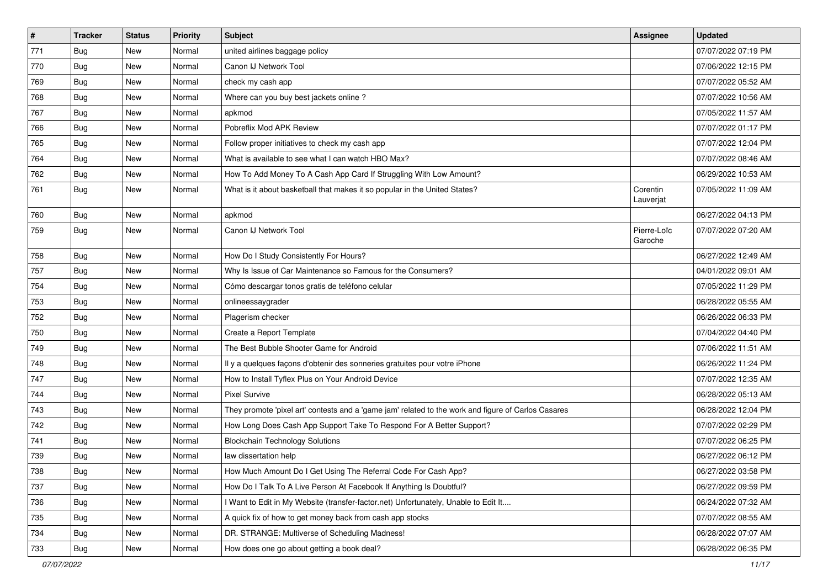| #   | <b>Tracker</b> | <b>Status</b> | <b>Priority</b> | Subject                                                                                             | <b>Assignee</b>        | <b>Updated</b>      |
|-----|----------------|---------------|-----------------|-----------------------------------------------------------------------------------------------------|------------------------|---------------------|
| 771 | <b>Bug</b>     | New           | Normal          | united airlines baggage policy                                                                      |                        | 07/07/2022 07:19 PM |
| 770 | Bug            | New           | Normal          | Canon IJ Network Tool                                                                               |                        | 07/06/2022 12:15 PM |
| 769 | Bug            | New           | Normal          | check my cash app                                                                                   |                        | 07/07/2022 05:52 AM |
| 768 | <b>Bug</b>     | New           | Normal          | Where can you buy best jackets online?                                                              |                        | 07/07/2022 10:56 AM |
| 767 | Bug            | <b>New</b>    | Normal          | apkmod                                                                                              |                        | 07/05/2022 11:57 AM |
| 766 | <b>Bug</b>     | New           | Normal          | Pobreflix Mod APK Review                                                                            |                        | 07/07/2022 01:17 PM |
| 765 | <b>Bug</b>     | New           | Normal          | Follow proper initiatives to check my cash app                                                      |                        | 07/07/2022 12:04 PM |
| 764 | Bug            | New           | Normal          | What is available to see what I can watch HBO Max?                                                  |                        | 07/07/2022 08:46 AM |
| 762 | <b>Bug</b>     | New           | Normal          | How To Add Money To A Cash App Card If Struggling With Low Amount?                                  |                        | 06/29/2022 10:53 AM |
| 761 | <b>Bug</b>     | <b>New</b>    | Normal          | What is it about basketball that makes it so popular in the United States?                          | Corentin<br>Lauverjat  | 07/05/2022 11:09 AM |
| 760 | <b>Bug</b>     | New           | Normal          | apkmod                                                                                              |                        | 06/27/2022 04:13 PM |
| 759 | Bug            | <b>New</b>    | Normal          | Canon IJ Network Tool                                                                               | Pierre-Loïc<br>Garoche | 07/07/2022 07:20 AM |
| 758 | Bug            | New           | Normal          | How Do I Study Consistently For Hours?                                                              |                        | 06/27/2022 12:49 AM |
| 757 | Bug            | <b>New</b>    | Normal          | Why Is Issue of Car Maintenance so Famous for the Consumers?                                        |                        | 04/01/2022 09:01 AM |
| 754 | <b>Bug</b>     | New           | Normal          | Cómo descargar tonos gratis de teléfono celular                                                     |                        | 07/05/2022 11:29 PM |
| 753 | <b>Bug</b>     | <b>New</b>    | Normal          | onlineessaygrader                                                                                   |                        | 06/28/2022 05:55 AM |
| 752 | <b>Bug</b>     | New           | Normal          | Plagerism checker                                                                                   |                        | 06/26/2022 06:33 PM |
| 750 | <b>Bug</b>     | New           | Normal          | Create a Report Template                                                                            |                        | 07/04/2022 04:40 PM |
| 749 | Bug            | <b>New</b>    | Normal          | The Best Bubble Shooter Game for Android                                                            |                        | 07/06/2022 11:51 AM |
| 748 | Bug            | New           | Normal          | Il y a quelques façons d'obtenir des sonneries gratuites pour votre iPhone                          |                        | 06/26/2022 11:24 PM |
| 747 | <b>Bug</b>     | New           | Normal          | How to Install Tyflex Plus on Your Android Device                                                   |                        | 07/07/2022 12:35 AM |
| 744 | <b>Bug</b>     | New           | Normal          | <b>Pixel Survive</b>                                                                                |                        | 06/28/2022 05:13 AM |
| 743 | <b>Bug</b>     | New           | Normal          | They promote 'pixel art' contests and a 'game jam' related to the work and figure of Carlos Casares |                        | 06/28/2022 12:04 PM |
| 742 | <b>Bug</b>     | <b>New</b>    | Normal          | How Long Does Cash App Support Take To Respond For A Better Support?                                |                        | 07/07/2022 02:29 PM |
| 741 | <b>Bug</b>     | New           | Normal          | <b>Blockchain Technology Solutions</b>                                                              |                        | 07/07/2022 06:25 PM |
| 739 | <b>Bug</b>     | New           | Normal          | law dissertation help                                                                               |                        | 06/27/2022 06:12 PM |
| 738 | Bug            | New           | Normal          | How Much Amount Do I Get Using The Referral Code For Cash App?                                      |                        | 06/27/2022 03:58 PM |
| 737 | Bug            | New           | Normal          | How Do I Talk To A Live Person At Facebook If Anything Is Doubtful?                                 |                        | 06/27/2022 09:59 PM |
| 736 | <b>Bug</b>     | New           | Normal          | I Want to Edit in My Website (transfer-factor.net) Unfortunately, Unable to Edit It                 |                        | 06/24/2022 07:32 AM |
| 735 | Bug            | New           | Normal          | A quick fix of how to get money back from cash app stocks                                           |                        | 07/07/2022 08:55 AM |
| 734 | <b>Bug</b>     | New           | Normal          | DR. STRANGE: Multiverse of Scheduling Madness!                                                      |                        | 06/28/2022 07:07 AM |
| 733 | <b>Bug</b>     | New           | Normal          | How does one go about getting a book deal?                                                          |                        | 06/28/2022 06:35 PM |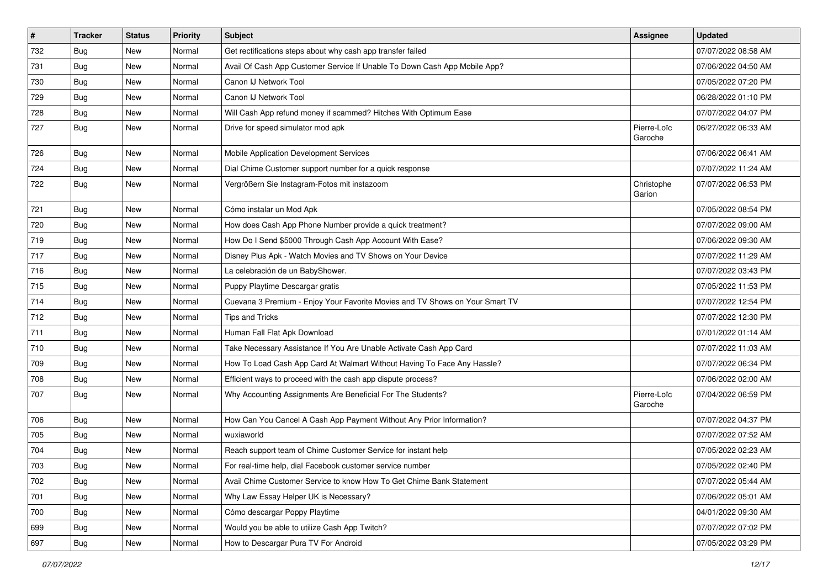| $\sharp$ | <b>Tracker</b> | <b>Status</b> | <b>Priority</b> | <b>Subject</b>                                                               | <b>Assignee</b>        | <b>Updated</b>      |
|----------|----------------|---------------|-----------------|------------------------------------------------------------------------------|------------------------|---------------------|
| 732      | <b>Bug</b>     | New           | Normal          | Get rectifications steps about why cash app transfer failed                  |                        | 07/07/2022 08:58 AM |
| 731      | Bug            | New           | Normal          | Avail Of Cash App Customer Service If Unable To Down Cash App Mobile App?    |                        | 07/06/2022 04:50 AM |
| 730      | Bug            | New           | Normal          | Canon IJ Network Tool                                                        |                        | 07/05/2022 07:20 PM |
| 729      | <b>Bug</b>     | New           | Normal          | Canon IJ Network Tool                                                        |                        | 06/28/2022 01:10 PM |
| 728      | <b>Bug</b>     | <b>New</b>    | Normal          | Will Cash App refund money if scammed? Hitches With Optimum Ease             |                        | 07/07/2022 04:07 PM |
| 727      | <b>Bug</b>     | New           | Normal          | Drive for speed simulator mod apk                                            | Pierre-Loïc<br>Garoche | 06/27/2022 06:33 AM |
| 726      | Bug            | <b>New</b>    | Normal          | Mobile Application Development Services                                      |                        | 07/06/2022 06:41 AM |
| 724      | Bug            | New           | Normal          | Dial Chime Customer support number for a quick response                      |                        | 07/07/2022 11:24 AM |
| 722      | <b>Bug</b>     | New           | Normal          | Vergrößern Sie Instagram-Fotos mit instazoom                                 | Christophe<br>Garion   | 07/07/2022 06:53 PM |
| 721      | <b>Bug</b>     | <b>New</b>    | Normal          | Cómo instalar un Mod Apk                                                     |                        | 07/05/2022 08:54 PM |
| 720      | Bug            | <b>New</b>    | Normal          | How does Cash App Phone Number provide a quick treatment?                    |                        | 07/07/2022 09:00 AM |
| 719      | <b>Bug</b>     | New           | Normal          | How Do I Send \$5000 Through Cash App Account With Ease?                     |                        | 07/06/2022 09:30 AM |
| 717      | Bug            | New           | Normal          | Disney Plus Apk - Watch Movies and TV Shows on Your Device                   |                        | 07/07/2022 11:29 AM |
| 716      | Bug            | <b>New</b>    | Normal          | La celebración de un BabyShower.                                             |                        | 07/07/2022 03:43 PM |
| 715      | Bug            | New           | Normal          | Puppy Playtime Descargar gratis                                              |                        | 07/05/2022 11:53 PM |
| 714      | <b>Bug</b>     | New           | Normal          | Cuevana 3 Premium - Enjoy Your Favorite Movies and TV Shows on Your Smart TV |                        | 07/07/2022 12:54 PM |
| 712      | <b>Bug</b>     | New           | Normal          | Tips and Tricks                                                              |                        | 07/07/2022 12:30 PM |
| 711      | <b>Bug</b>     | New           | Normal          | Human Fall Flat Apk Download                                                 |                        | 07/01/2022 01:14 AM |
| 710      | Bug            | <b>New</b>    | Normal          | Take Necessary Assistance If You Are Unable Activate Cash App Card           |                        | 07/07/2022 11:03 AM |
| 709      | <b>Bug</b>     | New           | Normal          | How To Load Cash App Card At Walmart Without Having To Face Any Hassle?      |                        | 07/07/2022 06:34 PM |
| 708      | Bug            | New           | Normal          | Efficient ways to proceed with the cash app dispute process?                 |                        | 07/06/2022 02:00 AM |
| 707      | <b>Bug</b>     | New           | Normal          | Why Accounting Assignments Are Beneficial For The Students?                  | Pierre-Loïc<br>Garoche | 07/04/2022 06:59 PM |
| 706      | Bug            | <b>New</b>    | Normal          | How Can You Cancel A Cash App Payment Without Any Prior Information?         |                        | 07/07/2022 04:37 PM |
| 705      | <b>Bug</b>     | New           | Normal          | wuxiaworld                                                                   |                        | 07/07/2022 07:52 AM |
| 704      | <b>Bug</b>     | New           | Normal          | Reach support team of Chime Customer Service for instant help                |                        | 07/05/2022 02:23 AM |
| 703      | Bug            | New           | Normal          | For real-time help, dial Facebook customer service number                    |                        | 07/05/2022 02:40 PM |
| 702      | Bug            | New           | Normal          | Avail Chime Customer Service to know How To Get Chime Bank Statement         |                        | 07/07/2022 05:44 AM |
| 701      | <b>Bug</b>     | New           | Normal          | Why Law Essay Helper UK is Necessary?                                        |                        | 07/06/2022 05:01 AM |
| 700      | <b>Bug</b>     | New           | Normal          | Cómo descargar Poppy Playtime                                                |                        | 04/01/2022 09:30 AM |
| 699      | <b>Bug</b>     | New           | Normal          | Would you be able to utilize Cash App Twitch?                                |                        | 07/07/2022 07:02 PM |
| 697      | Bug            | New           | Normal          | How to Descargar Pura TV For Android                                         |                        | 07/05/2022 03:29 PM |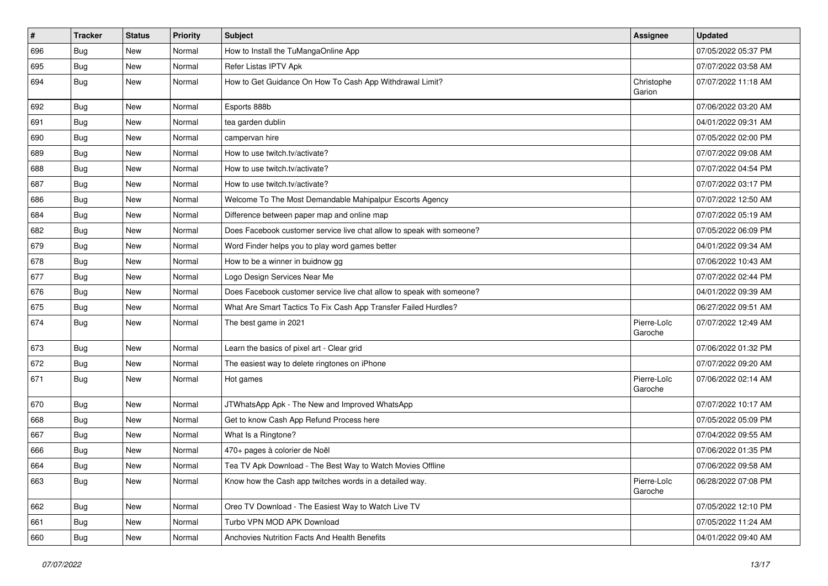| $\vert$ # | <b>Tracker</b> | <b>Status</b> | <b>Priority</b> | <b>Subject</b>                                                        | <b>Assignee</b>        | <b>Updated</b>      |
|-----------|----------------|---------------|-----------------|-----------------------------------------------------------------------|------------------------|---------------------|
| 696       | <b>Bug</b>     | New           | Normal          | How to Install the TuMangaOnline App                                  |                        | 07/05/2022 05:37 PM |
| 695       | <b>Bug</b>     | New           | Normal          | Refer Listas IPTV Apk                                                 |                        | 07/07/2022 03:58 AM |
| 694       | Bug            | New           | Normal          | How to Get Guidance On How To Cash App Withdrawal Limit?              | Christophe<br>Garion   | 07/07/2022 11:18 AM |
| 692       | Bug            | New           | Normal          | Esports 888b                                                          |                        | 07/06/2022 03:20 AM |
| 691       | <b>Bug</b>     | New           | Normal          | tea garden dublin                                                     |                        | 04/01/2022 09:31 AM |
| 690       | Bug            | New           | Normal          | campervan hire                                                        |                        | 07/05/2022 02:00 PM |
| 689       | <b>Bug</b>     | New           | Normal          | How to use twitch.tv/activate?                                        |                        | 07/07/2022 09:08 AM |
| 688       | <b>Bug</b>     | New           | Normal          | How to use twitch.tv/activate?                                        |                        | 07/07/2022 04:54 PM |
| 687       | <b>Bug</b>     | New           | Normal          | How to use twitch.tv/activate?                                        |                        | 07/07/2022 03:17 PM |
| 686       | <b>Bug</b>     | New           | Normal          | Welcome To The Most Demandable Mahipalpur Escorts Agency              |                        | 07/07/2022 12:50 AM |
| 684       | <b>Bug</b>     | New           | Normal          | Difference between paper map and online map                           |                        | 07/07/2022 05:19 AM |
| 682       | <b>Bug</b>     | New           | Normal          | Does Facebook customer service live chat allow to speak with someone? |                        | 07/05/2022 06:09 PM |
| 679       | Bug            | New           | Normal          | Word Finder helps you to play word games better                       |                        | 04/01/2022 09:34 AM |
| 678       | <b>Bug</b>     | New           | Normal          | How to be a winner in buidnow gg                                      |                        | 07/06/2022 10:43 AM |
| 677       | <b>Bug</b>     | New           | Normal          | Logo Design Services Near Me                                          |                        | 07/07/2022 02:44 PM |
| 676       | <b>Bug</b>     | New           | Normal          | Does Facebook customer service live chat allow to speak with someone? |                        | 04/01/2022 09:39 AM |
| 675       | Bug            | New           | Normal          | What Are Smart Tactics To Fix Cash App Transfer Failed Hurdles?       |                        | 06/27/2022 09:51 AM |
| 674       | <b>Bug</b>     | New           | Normal          | The best game in 2021                                                 | Pierre-Loïc<br>Garoche | 07/07/2022 12:49 AM |
| 673       | <b>Bug</b>     | New           | Normal          | Learn the basics of pixel art - Clear grid                            |                        | 07/06/2022 01:32 PM |
| 672       | <b>Bug</b>     | New           | Normal          | The easiest way to delete ringtones on iPhone                         |                        | 07/07/2022 09:20 AM |
| 671       | <b>Bug</b>     | New           | Normal          | Hot games                                                             | Pierre-Loïc<br>Garoche | 07/06/2022 02:14 AM |
| 670       | <b>Bug</b>     | New           | Normal          | JTWhatsApp Apk - The New and Improved WhatsApp                        |                        | 07/07/2022 10:17 AM |
| 668       | Bug            | New           | Normal          | Get to know Cash App Refund Process here                              |                        | 07/05/2022 05:09 PM |
| 667       | <b>Bug</b>     | New           | Normal          | What Is a Ringtone?                                                   |                        | 07/04/2022 09:55 AM |
| 666       | <b>Bug</b>     | New           | Normal          | 470+ pages à colorier de Noël                                         |                        | 07/06/2022 01:35 PM |
| 664       | Bug            | New           | Normal          | Tea TV Apk Download - The Best Way to Watch Movies Offline            |                        | 07/06/2022 09:58 AM |
| 663       | Bug            | New           | Normal          | Know how the Cash app twitches words in a detailed way.               | Pierre-Loïc<br>Garoche | 06/28/2022 07:08 PM |
| 662       | Bug            | New           | Normal          | Oreo TV Download - The Easiest Way to Watch Live TV                   |                        | 07/05/2022 12:10 PM |
| 661       | <b>Bug</b>     | New           | Normal          | Turbo VPN MOD APK Download                                            |                        | 07/05/2022 11:24 AM |
| 660       | Bug            | New           | Normal          | Anchovies Nutrition Facts And Health Benefits                         |                        | 04/01/2022 09:40 AM |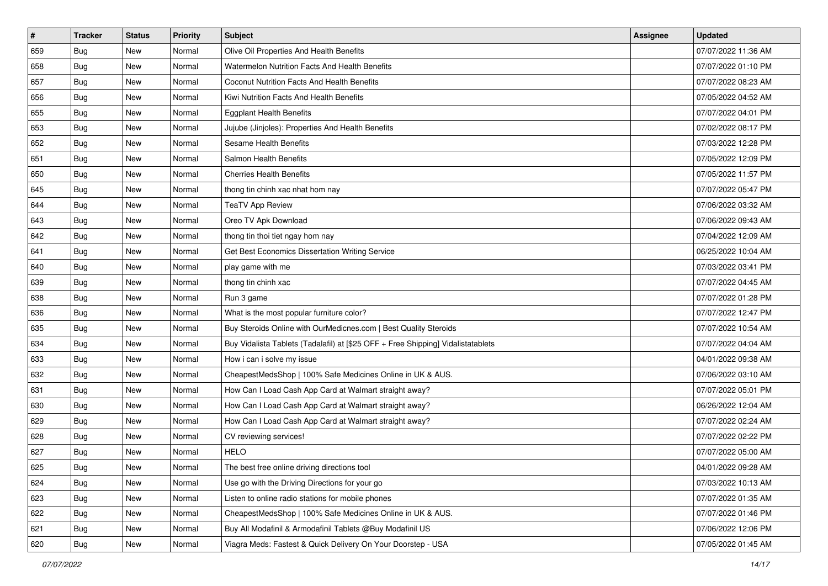| $\sharp$ | <b>Tracker</b> | <b>Status</b> | <b>Priority</b> | Subject                                                                          | <b>Assignee</b> | <b>Updated</b>      |
|----------|----------------|---------------|-----------------|----------------------------------------------------------------------------------|-----------------|---------------------|
| 659      | <b>Bug</b>     | New           | Normal          | Olive Oil Properties And Health Benefits                                         |                 | 07/07/2022 11:36 AM |
| 658      | <b>Bug</b>     | New           | Normal          | Watermelon Nutrition Facts And Health Benefits                                   |                 | 07/07/2022 01:10 PM |
| 657      | Bug            | New           | Normal          | Coconut Nutrition Facts And Health Benefits                                      |                 | 07/07/2022 08:23 AM |
| 656      | Bug            | New           | Normal          | Kiwi Nutrition Facts And Health Benefits                                         |                 | 07/05/2022 04:52 AM |
| 655      | Bug            | New           | Normal          | <b>Eggplant Health Benefits</b>                                                  |                 | 07/07/2022 04:01 PM |
| 653      | <b>Bug</b>     | New           | Normal          | Jujube (Jinjoles): Properties And Health Benefits                                |                 | 07/02/2022 08:17 PM |
| 652      | Bug            | New           | Normal          | Sesame Health Benefits                                                           |                 | 07/03/2022 12:28 PM |
| 651      | <b>Bug</b>     | New           | Normal          | Salmon Health Benefits                                                           |                 | 07/05/2022 12:09 PM |
| 650      | Bug            | New           | Normal          | <b>Cherries Health Benefits</b>                                                  |                 | 07/05/2022 11:57 PM |
| 645      | Bug            | New           | Normal          | thong tin chinh xac nhat hom nay                                                 |                 | 07/07/2022 05:47 PM |
| 644      | <b>Bug</b>     | New           | Normal          | <b>TeaTV App Review</b>                                                          |                 | 07/06/2022 03:32 AM |
| 643      | Bug            | New           | Normal          | Oreo TV Apk Download                                                             |                 | 07/06/2022 09:43 AM |
| 642      | Bug            | New           | Normal          | thong tin thoi tiet ngay hom nay                                                 |                 | 07/04/2022 12:09 AM |
| 641      | Bug            | New           | Normal          | Get Best Economics Dissertation Writing Service                                  |                 | 06/25/2022 10:04 AM |
| 640      | <b>Bug</b>     | New           | Normal          | play game with me                                                                |                 | 07/03/2022 03:41 PM |
| 639      | Bug            | New           | Normal          | thong tin chinh xac                                                              |                 | 07/07/2022 04:45 AM |
| 638      | Bug            | New           | Normal          | Run 3 game                                                                       |                 | 07/07/2022 01:28 PM |
| 636      | Bug            | New           | Normal          | What is the most popular furniture color?                                        |                 | 07/07/2022 12:47 PM |
| 635      | Bug            | New           | Normal          | Buy Steroids Online with OurMedicnes.com   Best Quality Steroids                 |                 | 07/07/2022 10:54 AM |
| 634      | Bug            | New           | Normal          | Buy Vidalista Tablets (Tadalafil) at [\$25 OFF + Free Shipping] Vidalistatablets |                 | 07/07/2022 04:04 AM |
| 633      | Bug            | New           | Normal          | How i can i solve my issue                                                       |                 | 04/01/2022 09:38 AM |
| 632      | Bug            | New           | Normal          | CheapestMedsShop   100% Safe Medicines Online in UK & AUS.                       |                 | 07/06/2022 03:10 AM |
| 631      | Bug            | New           | Normal          | How Can I Load Cash App Card at Walmart straight away?                           |                 | 07/07/2022 05:01 PM |
| 630      | <b>Bug</b>     | New           | Normal          | How Can I Load Cash App Card at Walmart straight away?                           |                 | 06/26/2022 12:04 AM |
| 629      | Bug            | New           | Normal          | How Can I Load Cash App Card at Walmart straight away?                           |                 | 07/07/2022 02:24 AM |
| 628      | Bug            | New           | Normal          | CV reviewing services!                                                           |                 | 07/07/2022 02:22 PM |
| 627      | <b>Bug</b>     | New           | Normal          | <b>HELO</b>                                                                      |                 | 07/07/2022 05:00 AM |
| 625      | I Bug          | New           | Normal          | The best free online driving directions tool                                     |                 | 04/01/2022 09:28 AM |
| 624      | <b>Bug</b>     | New           | Normal          | Use go with the Driving Directions for your go                                   |                 | 07/03/2022 10:13 AM |
| 623      | Bug            | New           | Normal          | Listen to online radio stations for mobile phones                                |                 | 07/07/2022 01:35 AM |
| 622      | <b>Bug</b>     | New           | Normal          | CheapestMedsShop   100% Safe Medicines Online in UK & AUS.                       |                 | 07/07/2022 01:46 PM |
| 621      | Bug            | New           | Normal          | Buy All Modafinil & Armodafinil Tablets @Buy Modafinil US                        |                 | 07/06/2022 12:06 PM |
| 620      | <b>Bug</b>     | New           | Normal          | Viagra Meds: Fastest & Quick Delivery On Your Doorstep - USA                     |                 | 07/05/2022 01:45 AM |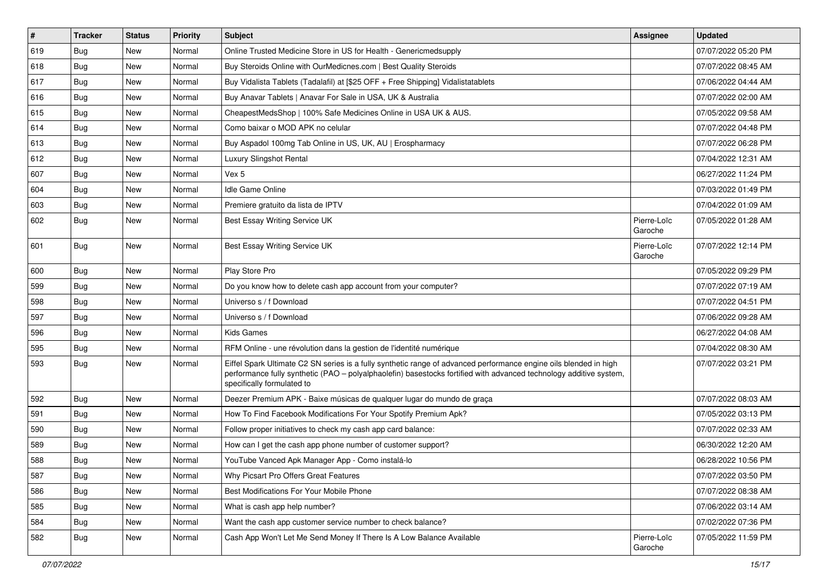| $\vert$ # | <b>Tracker</b> | <b>Status</b> | <b>Priority</b> | Subject                                                                                                                                                                                                                                                               | <b>Assignee</b>        | <b>Updated</b>      |
|-----------|----------------|---------------|-----------------|-----------------------------------------------------------------------------------------------------------------------------------------------------------------------------------------------------------------------------------------------------------------------|------------------------|---------------------|
| 619       | Bug            | New           | Normal          | Online Trusted Medicine Store in US for Health - Genericmedsupply                                                                                                                                                                                                     |                        | 07/07/2022 05:20 PM |
| 618       | <b>Bug</b>     | <b>New</b>    | Normal          | Buy Steroids Online with OurMedicnes.com   Best Quality Steroids                                                                                                                                                                                                      |                        | 07/07/2022 08:45 AM |
| 617       | Bug            | New           | Normal          | Buy Vidalista Tablets (Tadalafil) at [\$25 OFF + Free Shipping] Vidalistatablets                                                                                                                                                                                      |                        | 07/06/2022 04:44 AM |
| 616       | Bug            | New           | Normal          | Buy Anavar Tablets   Anavar For Sale in USA, UK & Australia                                                                                                                                                                                                           |                        | 07/07/2022 02:00 AM |
| 615       | Bug            | <b>New</b>    | Normal          | CheapestMedsShop   100% Safe Medicines Online in USA UK & AUS.                                                                                                                                                                                                        |                        | 07/05/2022 09:58 AM |
| 614       | Bug            | New           | Normal          | Como baixar o MOD APK no celular                                                                                                                                                                                                                                      |                        | 07/07/2022 04:48 PM |
| 613       | Bug            | <b>New</b>    | Normal          | Buy Aspadol 100mg Tab Online in US, UK, AU   Erospharmacy                                                                                                                                                                                                             |                        | 07/07/2022 06:28 PM |
| 612       | Bug            | New           | Normal          | Luxury Slingshot Rental                                                                                                                                                                                                                                               |                        | 07/04/2022 12:31 AM |
| 607       | Bug            | <b>New</b>    | Normal          | Vex 5                                                                                                                                                                                                                                                                 |                        | 06/27/2022 11:24 PM |
| 604       | Bug            | <b>New</b>    | Normal          | Idle Game Online                                                                                                                                                                                                                                                      |                        | 07/03/2022 01:49 PM |
| 603       | <b>Bug</b>     | New           | Normal          | Premiere gratuito da lista de IPTV                                                                                                                                                                                                                                    |                        | 07/04/2022 01:09 AM |
| 602       | Bug            | New           | Normal          | Best Essay Writing Service UK                                                                                                                                                                                                                                         | Pierre-Loïc<br>Garoche | 07/05/2022 01:28 AM |
| 601       | <b>Bug</b>     | New           | Normal          | Best Essay Writing Service UK                                                                                                                                                                                                                                         | Pierre-Loïc<br>Garoche | 07/07/2022 12:14 PM |
| 600       | Bug            | <b>New</b>    | Normal          | Play Store Pro                                                                                                                                                                                                                                                        |                        | 07/05/2022 09:29 PM |
| 599       | Bug            | <b>New</b>    | Normal          | Do you know how to delete cash app account from your computer?                                                                                                                                                                                                        |                        | 07/07/2022 07:19 AM |
| 598       | Bug            | <b>New</b>    | Normal          | Universo s / f Download                                                                                                                                                                                                                                               |                        | 07/07/2022 04:51 PM |
| 597       | <b>Bug</b>     | New           | Normal          | Universo s / f Download                                                                                                                                                                                                                                               |                        | 07/06/2022 09:28 AM |
| 596       | Bug            | New           | Normal          | Kids Games                                                                                                                                                                                                                                                            |                        | 06/27/2022 04:08 AM |
| 595       | Bug            | <b>New</b>    | Normal          | RFM Online - une révolution dans la gestion de l'identité numérique                                                                                                                                                                                                   |                        | 07/04/2022 08:30 AM |
| 593       | Bug            | New           | Normal          | Eiffel Spark Ultimate C2 SN series is a fully synthetic range of advanced performance engine oils blended in high<br>performance fully synthetic (PAO - polyalphaolefin) basestocks fortified with advanced technology additive system,<br>specifically formulated to |                        | 07/07/2022 03:21 PM |
| 592       | Bug            | <b>New</b>    | Normal          | Deezer Premium APK - Baixe músicas de qualquer lugar do mundo de graça                                                                                                                                                                                                |                        | 07/07/2022 08:03 AM |
| 591       | Bug            | <b>New</b>    | Normal          | How To Find Facebook Modifications For Your Spotify Premium Apk?                                                                                                                                                                                                      |                        | 07/05/2022 03:13 PM |
| 590       | <b>Bug</b>     | New           | Normal          | Follow proper initiatives to check my cash app card balance:                                                                                                                                                                                                          |                        | 07/07/2022 02:33 AM |
| 589       | Bug            | New           | Normal          | How can I get the cash app phone number of customer support?                                                                                                                                                                                                          |                        | 06/30/2022 12:20 AM |
| 588       | <b>Bug</b>     | <b>New</b>    | Normal          | YouTube Vanced Apk Manager App - Como instalá-lo                                                                                                                                                                                                                      |                        | 06/28/2022 10:56 PM |
| 587       | <b>Bug</b>     | New           | Normal          | Why Picsart Pro Offers Great Features                                                                                                                                                                                                                                 |                        | 07/07/2022 03:50 PM |
| 586       | <b>Bug</b>     | New           | Normal          | Best Modifications For Your Mobile Phone                                                                                                                                                                                                                              |                        | 07/07/2022 08:38 AM |
| 585       | Bug            | New           | Normal          | What is cash app help number?                                                                                                                                                                                                                                         |                        | 07/06/2022 03:14 AM |
| 584       | Bug            | New           | Normal          | Want the cash app customer service number to check balance?                                                                                                                                                                                                           |                        | 07/02/2022 07:36 PM |
| 582       | <b>Bug</b>     | New           | Normal          | Cash App Won't Let Me Send Money If There Is A Low Balance Available                                                                                                                                                                                                  | Pierre-Loïc<br>Garoche | 07/05/2022 11:59 PM |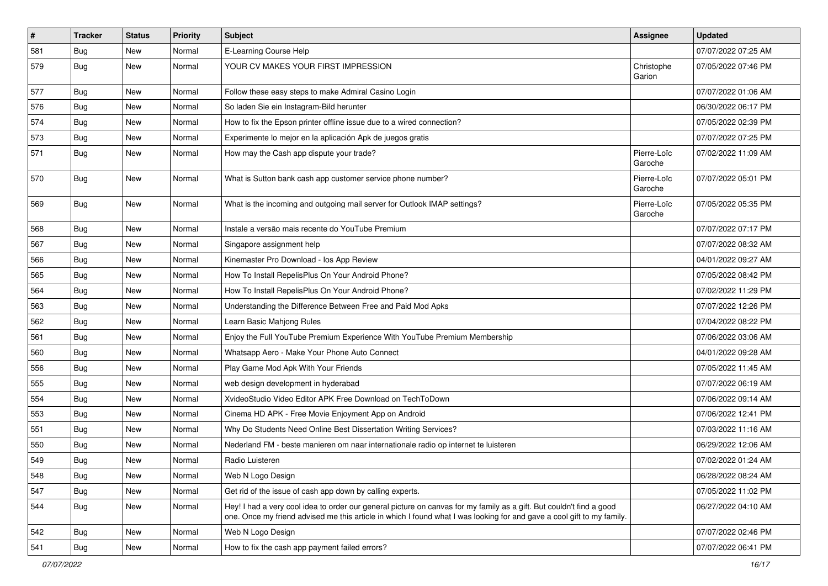| $\vert$ # | <b>Tracker</b> | <b>Status</b> | <b>Priority</b> | <b>Subject</b>                                                                                                                                                                                                                                 | <b>Assignee</b>        | <b>Updated</b>      |
|-----------|----------------|---------------|-----------------|------------------------------------------------------------------------------------------------------------------------------------------------------------------------------------------------------------------------------------------------|------------------------|---------------------|
| 581       | <b>Bug</b>     | New           | Normal          | E-Learning Course Help                                                                                                                                                                                                                         |                        | 07/07/2022 07:25 AM |
| 579       | <b>Bug</b>     | New           | Normal          | YOUR CV MAKES YOUR FIRST IMPRESSION                                                                                                                                                                                                            | Christophe<br>Garion   | 07/05/2022 07:46 PM |
| 577       | <b>Bug</b>     | New           | Normal          | Follow these easy steps to make Admiral Casino Login                                                                                                                                                                                           |                        | 07/07/2022 01:06 AM |
| 576       | Bug            | <b>New</b>    | Normal          | So laden Sie ein Instagram-Bild herunter                                                                                                                                                                                                       |                        | 06/30/2022 06:17 PM |
| 574       | Bug            | New           | Normal          | How to fix the Epson printer offline issue due to a wired connection?                                                                                                                                                                          |                        | 07/05/2022 02:39 PM |
| 573       | Bug            | New           | Normal          | Experimente lo mejor en la aplicación Apk de juegos gratis                                                                                                                                                                                     |                        | 07/07/2022 07:25 PM |
| 571       | Bug            | <b>New</b>    | Normal          | How may the Cash app dispute your trade?                                                                                                                                                                                                       | Pierre-Loïc<br>Garoche | 07/02/2022 11:09 AM |
| 570       | <b>Bug</b>     | New           | Normal          | What is Sutton bank cash app customer service phone number?                                                                                                                                                                                    | Pierre-Loïc<br>Garoche | 07/07/2022 05:01 PM |
| 569       | Bug            | New           | Normal          | What is the incoming and outgoing mail server for Outlook IMAP settings?                                                                                                                                                                       | Pierre-Loïc<br>Garoche | 07/05/2022 05:35 PM |
| 568       | Bug            | New           | Normal          | Instale a versão mais recente do YouTube Premium                                                                                                                                                                                               |                        | 07/07/2022 07:17 PM |
| 567       | <b>Bug</b>     | New           | Normal          | Singapore assignment help                                                                                                                                                                                                                      |                        | 07/07/2022 08:32 AM |
| 566       | Bug            | <b>New</b>    | Normal          | Kinemaster Pro Download - los App Review                                                                                                                                                                                                       |                        | 04/01/2022 09:27 AM |
| 565       | <b>Bug</b>     | New           | Normal          | How To Install RepelisPlus On Your Android Phone?                                                                                                                                                                                              |                        | 07/05/2022 08:42 PM |
| 564       | <b>Bug</b>     | New           | Normal          | How To Install RepelisPlus On Your Android Phone?                                                                                                                                                                                              |                        | 07/02/2022 11:29 PM |
| 563       | <b>Bug</b>     | New           | Normal          | Understanding the Difference Between Free and Paid Mod Apks                                                                                                                                                                                    |                        | 07/07/2022 12:26 PM |
| 562       | <b>Bug</b>     | New           | Normal          | Learn Basic Mahjong Rules                                                                                                                                                                                                                      |                        | 07/04/2022 08:22 PM |
| 561       | Bug            | <b>New</b>    | Normal          | Enjoy the Full YouTube Premium Experience With YouTube Premium Membership                                                                                                                                                                      |                        | 07/06/2022 03:06 AM |
| 560       | <b>Bug</b>     | New           | Normal          | Whatsapp Aero - Make Your Phone Auto Connect                                                                                                                                                                                                   |                        | 04/01/2022 09:28 AM |
| 556       | Bug            | New           | Normal          | Play Game Mod Apk With Your Friends                                                                                                                                                                                                            |                        | 07/05/2022 11:45 AM |
| 555       | Bug            | New           | Normal          | web design development in hyderabad                                                                                                                                                                                                            |                        | 07/07/2022 06:19 AM |
| 554       | Bug            | New           | Normal          | XvideoStudio Video Editor APK Free Download on TechToDown                                                                                                                                                                                      |                        | 07/06/2022 09:14 AM |
| 553       | Bug            | <b>New</b>    | Normal          | Cinema HD APK - Free Movie Enjoyment App on Android                                                                                                                                                                                            |                        | 07/06/2022 12:41 PM |
| 551       | <b>Bug</b>     | New           | Normal          | Why Do Students Need Online Best Dissertation Writing Services?                                                                                                                                                                                |                        | 07/03/2022 11:16 AM |
| 550       | Bug            | New           | Normal          | Nederland FM - beste manieren om naar internationale radio op internet te luisteren                                                                                                                                                            |                        | 06/29/2022 12:06 AM |
| 549       | Bug            | New           | Normal          | Radio Luisteren                                                                                                                                                                                                                                |                        | 07/02/2022 01:24 AM |
| 548       | Bug            | New           | Normal          | Web N Logo Design                                                                                                                                                                                                                              |                        | 06/28/2022 08:24 AM |
| 547       | Bug            | New           | Normal          | Get rid of the issue of cash app down by calling experts.                                                                                                                                                                                      |                        | 07/05/2022 11:02 PM |
| 544       | Bug            | New           | Normal          | Hey! I had a very cool idea to order our general picture on canvas for my family as a gift. But couldn't find a good<br>one. Once my friend advised me this article in which I found what I was looking for and gave a cool gift to my family. |                        | 06/27/2022 04:10 AM |
| 542       | <b>Bug</b>     | <b>New</b>    | Normal          | Web N Logo Design                                                                                                                                                                                                                              |                        | 07/07/2022 02:46 PM |
| 541       | Bug            | New           | Normal          | How to fix the cash app payment failed errors?                                                                                                                                                                                                 |                        | 07/07/2022 06:41 PM |